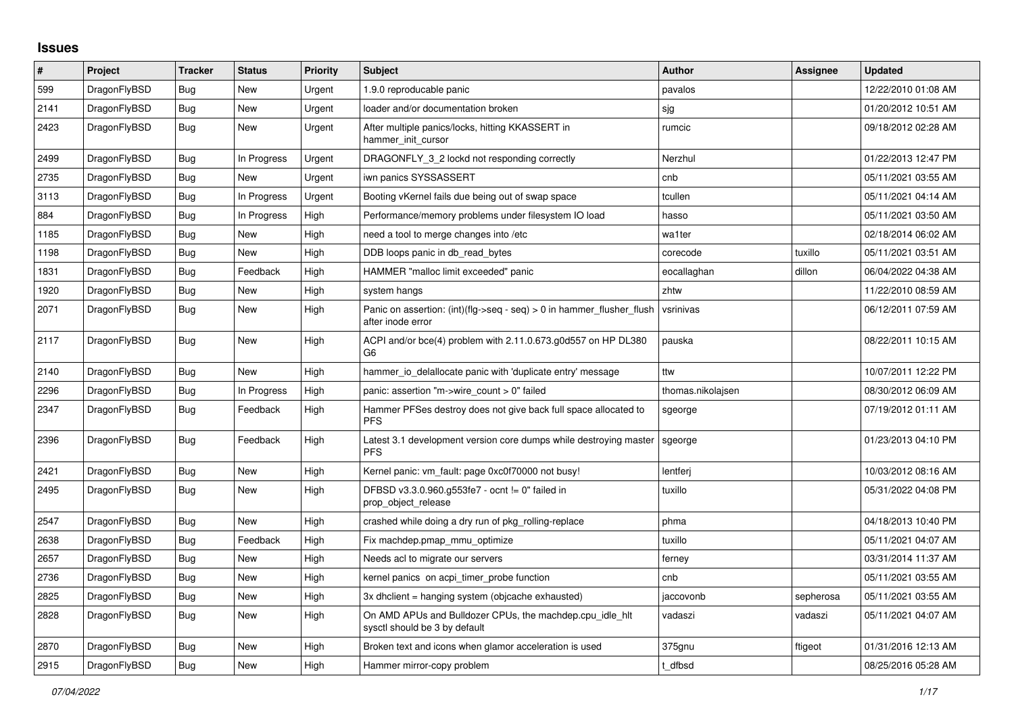## **Issues**

| $\pmb{\#}$ | Project      | <b>Tracker</b> | <b>Status</b> | <b>Priority</b> | <b>Subject</b>                                                                             | <b>Author</b>     | Assignee  | <b>Updated</b>      |
|------------|--------------|----------------|---------------|-----------------|--------------------------------------------------------------------------------------------|-------------------|-----------|---------------------|
| 599        | DragonFlyBSD | <b>Bug</b>     | <b>New</b>    | Urgent          | 1.9.0 reproducable panic                                                                   | pavalos           |           | 12/22/2010 01:08 AM |
| 2141       | DragonFlyBSD | <b>Bug</b>     | <b>New</b>    | Urgent          | loader and/or documentation broken                                                         | sjg               |           | 01/20/2012 10:51 AM |
| 2423       | DragonFlyBSD | Bug            | New           | Urgent          | After multiple panics/locks, hitting KKASSERT in<br>hammer_init_cursor                     | rumcic            |           | 09/18/2012 02:28 AM |
| 2499       | DragonFlyBSD | Bug            | In Progress   | Urgent          | DRAGONFLY 3 2 lockd not responding correctly                                               | Nerzhul           |           | 01/22/2013 12:47 PM |
| 2735       | DragonFlyBSD | Bug            | New           | Urgent          | iwn panics SYSSASSERT                                                                      | cnb               |           | 05/11/2021 03:55 AM |
| 3113       | DragonFlyBSD | <b>Bug</b>     | In Progress   | Urgent          | Booting vKernel fails due being out of swap space                                          | tcullen           |           | 05/11/2021 04:14 AM |
| 884        | DragonFlyBSD | Bug            | In Progress   | High            | Performance/memory problems under filesystem IO load                                       | hasso             |           | 05/11/2021 03:50 AM |
| 1185       | DragonFlyBSD | Bug            | <b>New</b>    | High            | need a tool to merge changes into /etc                                                     | wa1ter            |           | 02/18/2014 06:02 AM |
| 1198       | DragonFlyBSD | Bug            | New           | High            | DDB loops panic in db read bytes                                                           | corecode          | tuxillo   | 05/11/2021 03:51 AM |
| 1831       | DragonFlyBSD | Bug            | Feedback      | High            | HAMMER "malloc limit exceeded" panic                                                       | eocallaghan       | dillon    | 06/04/2022 04:38 AM |
| 1920       | DragonFlyBSD | Bug            | New           | High            | system hangs                                                                               | zhtw              |           | 11/22/2010 08:59 AM |
| 2071       | DragonFlyBSD | Bug            | <b>New</b>    | High            | Panic on assertion: (int)(flg->seq - seq) > 0 in hammer_flusher_flush<br>after inode error | vsrinivas         |           | 06/12/2011 07:59 AM |
| 2117       | DragonFlyBSD | Bug            | <b>New</b>    | High            | ACPI and/or bce(4) problem with 2.11.0.673.g0d557 on HP DL380<br>G <sub>6</sub>            | pauska            |           | 08/22/2011 10:15 AM |
| 2140       | DragonFlyBSD | <b>Bug</b>     | <b>New</b>    | High            | hammer io delallocate panic with 'duplicate entry' message                                 | ttw               |           | 10/07/2011 12:22 PM |
| 2296       | DragonFlyBSD | Bug            | In Progress   | High            | panic: assertion "m->wire_count > 0" failed                                                | thomas.nikolajsen |           | 08/30/2012 06:09 AM |
| 2347       | DragonFlyBSD | <b>Bug</b>     | Feedback      | High            | Hammer PFSes destroy does not give back full space allocated to<br><b>PFS</b>              | sgeorge           |           | 07/19/2012 01:11 AM |
| 2396       | DragonFlyBSD | <b>Bug</b>     | Feedback      | High            | Latest 3.1 development version core dumps while destroying master<br><b>PFS</b>            | sgeorge           |           | 01/23/2013 04:10 PM |
| 2421       | DragonFlyBSD | Bug            | <b>New</b>    | High            | Kernel panic: vm fault: page 0xc0f70000 not busy!                                          | lentferj          |           | 10/03/2012 08:16 AM |
| 2495       | DragonFlyBSD | Bug            | New           | High            | DFBSD v3.3.0.960.g553fe7 - ocnt != 0" failed in<br>prop_object_release                     | tuxillo           |           | 05/31/2022 04:08 PM |
| 2547       | DragonFlyBSD | Bug            | <b>New</b>    | High            | crashed while doing a dry run of pkg_rolling-replace                                       | phma              |           | 04/18/2013 10:40 PM |
| 2638       | DragonFlyBSD | Bug            | Feedback      | High            | Fix machdep.pmap mmu optimize                                                              | tuxillo           |           | 05/11/2021 04:07 AM |
| 2657       | DragonFlyBSD | Bug            | <b>New</b>    | High            | Needs acl to migrate our servers                                                           | ferney            |           | 03/31/2014 11:37 AM |
| 2736       | DragonFlyBSD | Bug            | <b>New</b>    | High            | kernel panics on acpi timer probe function                                                 | cnb               |           | 05/11/2021 03:55 AM |
| 2825       | DragonFlyBSD | Bug            | New           | High            | 3x dhclient = hanging system (objcache exhausted)                                          | jaccovonb         | sepherosa | 05/11/2021 03:55 AM |
| 2828       | DragonFlyBSD | Bug            | <b>New</b>    | High            | On AMD APUs and Bulldozer CPUs, the machdep.cpu_idle_hlt<br>sysctl should be 3 by default  | vadaszi           | vadaszi   | 05/11/2021 04:07 AM |
| 2870       | DragonFlyBSD | Bug            | <b>New</b>    | High            | Broken text and icons when glamor acceleration is used                                     | 375gnu            | ftigeot   | 01/31/2016 12:13 AM |
| 2915       | DragonFlyBSD | Bug            | New           | High            | Hammer mirror-copy problem                                                                 | t dfbsd           |           | 08/25/2016 05:28 AM |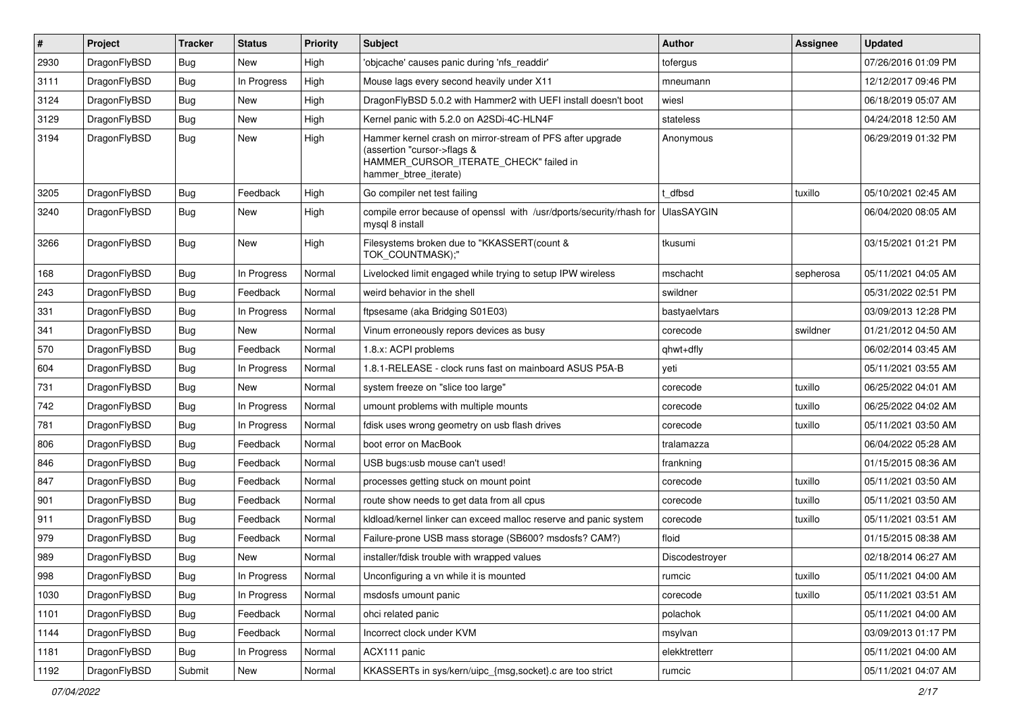| #    | Project      | <b>Tracker</b> | <b>Status</b> | <b>Priority</b> | Subject                                                                                                                                                     | <b>Author</b>     | Assignee  | <b>Updated</b>      |
|------|--------------|----------------|---------------|-----------------|-------------------------------------------------------------------------------------------------------------------------------------------------------------|-------------------|-----------|---------------------|
| 2930 | DragonFlyBSD | <b>Bug</b>     | New           | High            | 'objcache' causes panic during 'nfs readdir'                                                                                                                | tofergus          |           | 07/26/2016 01:09 PM |
| 3111 | DragonFlyBSD | Bug            | In Progress   | High            | Mouse lags every second heavily under X11                                                                                                                   | mneumann          |           | 12/12/2017 09:46 PM |
| 3124 | DragonFlyBSD | <b>Bug</b>     | New           | High            | DragonFlyBSD 5.0.2 with Hammer2 with UEFI install doesn't boot                                                                                              | wiesl             |           | 06/18/2019 05:07 AM |
| 3129 | DragonFlyBSD | <b>Bug</b>     | New           | High            | Kernel panic with 5.2.0 on A2SDi-4C-HLN4F                                                                                                                   | stateless         |           | 04/24/2018 12:50 AM |
| 3194 | DragonFlyBSD | Bug            | <b>New</b>    | High            | Hammer kernel crash on mirror-stream of PFS after upgrade<br>(assertion "cursor->flags &<br>HAMMER_CURSOR_ITERATE_CHECK" failed in<br>hammer_btree_iterate) | Anonymous         |           | 06/29/2019 01:32 PM |
| 3205 | DragonFlyBSD | Bug            | Feedback      | High            | Go compiler net test failing                                                                                                                                | t dfbsd           | tuxillo   | 05/10/2021 02:45 AM |
| 3240 | DragonFlyBSD | <b>Bug</b>     | New           | High            | compile error because of openssl with /usr/dports/security/rhash for<br>mysql 8 install                                                                     | <b>UlasSAYGIN</b> |           | 06/04/2020 08:05 AM |
| 3266 | DragonFlyBSD | Bug            | New           | High            | Filesystems broken due to "KKASSERT(count &<br>TOK_COUNTMASK);"                                                                                             | tkusumi           |           | 03/15/2021 01:21 PM |
| 168  | DragonFlyBSD | <b>Bug</b>     | In Progress   | Normal          | Livelocked limit engaged while trying to setup IPW wireless                                                                                                 | mschacht          | sepherosa | 05/11/2021 04:05 AM |
| 243  | DragonFlyBSD | <b>Bug</b>     | Feedback      | Normal          | weird behavior in the shell                                                                                                                                 | swildner          |           | 05/31/2022 02:51 PM |
| 331  | DragonFlyBSD | <b>Bug</b>     | In Progress   | Normal          | ftpsesame (aka Bridging S01E03)                                                                                                                             | bastyaelvtars     |           | 03/09/2013 12:28 PM |
| 341  | DragonFlyBSD | <b>Bug</b>     | New           | Normal          | Vinum erroneously repors devices as busy                                                                                                                    | corecode          | swildner  | 01/21/2012 04:50 AM |
| 570  | DragonFlyBSD | <b>Bug</b>     | Feedback      | Normal          | 1.8.x: ACPI problems                                                                                                                                        | qhwt+dfly         |           | 06/02/2014 03:45 AM |
| 604  | DragonFlyBSD | <b>Bug</b>     | In Progress   | Normal          | 1.8.1-RELEASE - clock runs fast on mainboard ASUS P5A-B                                                                                                     | yeti              |           | 05/11/2021 03:55 AM |
| 731  | DragonFlyBSD | <b>Bug</b>     | New           | Normal          | system freeze on "slice too large"                                                                                                                          | corecode          | tuxillo   | 06/25/2022 04:01 AM |
| 742  | DragonFlyBSD | Bug            | In Progress   | Normal          | umount problems with multiple mounts                                                                                                                        | corecode          | tuxillo   | 06/25/2022 04:02 AM |
| 781  | DragonFlyBSD | <b>Bug</b>     | In Progress   | Normal          | fdisk uses wrong geometry on usb flash drives                                                                                                               | corecode          | tuxillo   | 05/11/2021 03:50 AM |
| 806  | DragonFlyBSD | <b>Bug</b>     | Feedback      | Normal          | boot error on MacBook                                                                                                                                       | tralamazza        |           | 06/04/2022 05:28 AM |
| 846  | DragonFlyBSD | <b>Bug</b>     | Feedback      | Normal          | USB bugs:usb mouse can't used!                                                                                                                              | frankning         |           | 01/15/2015 08:36 AM |
| 847  | DragonFlyBSD | <b>Bug</b>     | Feedback      | Normal          | processes getting stuck on mount point                                                                                                                      | corecode          | tuxillo   | 05/11/2021 03:50 AM |
| 901  | DragonFlyBSD | <b>Bug</b>     | Feedback      | Normal          | route show needs to get data from all cpus                                                                                                                  | corecode          | tuxillo   | 05/11/2021 03:50 AM |
| 911  | DragonFlyBSD | <b>Bug</b>     | Feedback      | Normal          | kldload/kernel linker can exceed malloc reserve and panic system                                                                                            | corecode          | tuxillo   | 05/11/2021 03:51 AM |
| 979  | DragonFlyBSD | <b>Bug</b>     | Feedback      | Normal          | Failure-prone USB mass storage (SB600? msdosfs? CAM?)                                                                                                       | floid             |           | 01/15/2015 08:38 AM |
| 989  | DragonFlyBSD | <b>Bug</b>     | New           | Normal          | installer/fdisk trouble with wrapped values                                                                                                                 | Discodestroyer    |           | 02/18/2014 06:27 AM |
| 998  | DragonFlyBSD | <b>Bug</b>     | In Progress   | Normal          | Unconfiguring a vn while it is mounted                                                                                                                      | rumcic            | tuxillo   | 05/11/2021 04:00 AM |
| 1030 | DragonFlyBSD | <b>Bug</b>     | In Progress   | Normal          | msdosfs umount panic                                                                                                                                        | corecode          | tuxillo   | 05/11/2021 03:51 AM |
| 1101 | DragonFlyBSD | <b>Bug</b>     | Feedback      | Normal          | ohci related panic                                                                                                                                          | polachok          |           | 05/11/2021 04:00 AM |
| 1144 | DragonFlyBSD | <b>Bug</b>     | Feedback      | Normal          | Incorrect clock under KVM                                                                                                                                   | msylvan           |           | 03/09/2013 01:17 PM |
| 1181 | DragonFlyBSD | <b>Bug</b>     | In Progress   | Normal          | ACX111 panic                                                                                                                                                | elekktretterr     |           | 05/11/2021 04:00 AM |
| 1192 | DragonFlyBSD | Submit         | New           | Normal          | KKASSERTs in sys/kern/uipc_{msg,socket}.c are too strict                                                                                                    | rumcic            |           | 05/11/2021 04:07 AM |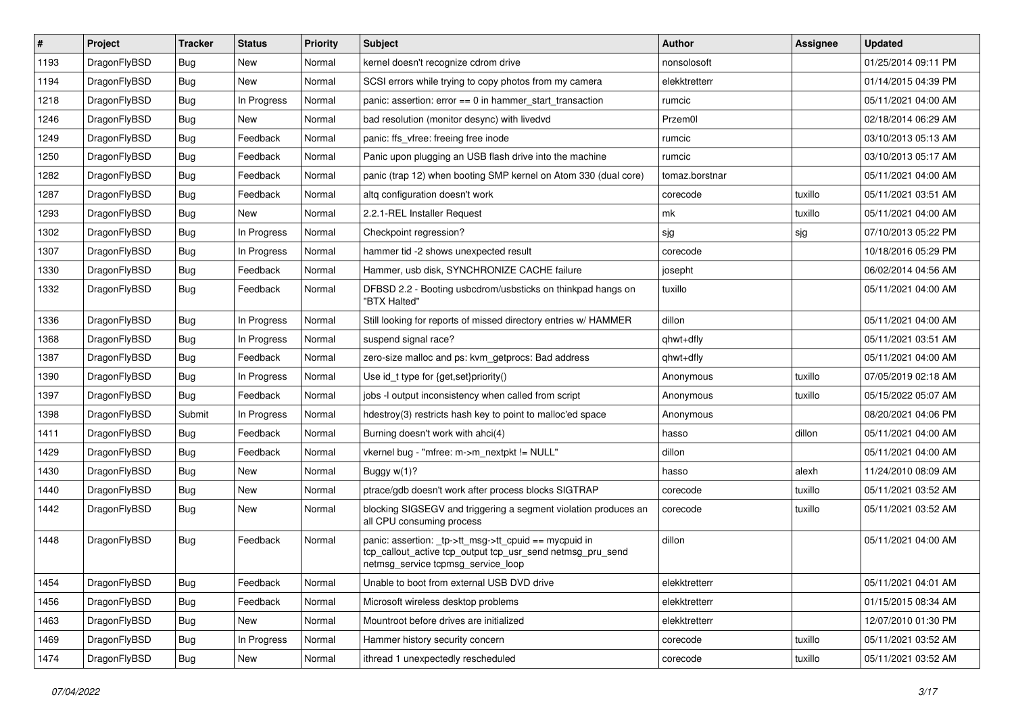| #    | Project      | <b>Tracker</b> | <b>Status</b> | <b>Priority</b> | <b>Subject</b>                                                                                                                                            | Author         | Assignee | <b>Updated</b>      |
|------|--------------|----------------|---------------|-----------------|-----------------------------------------------------------------------------------------------------------------------------------------------------------|----------------|----------|---------------------|
| 1193 | DragonFlyBSD | Bug            | <b>New</b>    | Normal          | kernel doesn't recognize cdrom drive                                                                                                                      | nonsolosoft    |          | 01/25/2014 09:11 PM |
| 1194 | DragonFlyBSD | Bug            | <b>New</b>    | Normal          | SCSI errors while trying to copy photos from my camera                                                                                                    | elekktretterr  |          | 01/14/2015 04:39 PM |
| 1218 | DragonFlyBSD | <b>Bug</b>     | In Progress   | Normal          | panic: assertion: $error == 0$ in hammer start transaction                                                                                                | rumcic         |          | 05/11/2021 04:00 AM |
| 1246 | DragonFlyBSD | Bug            | New           | Normal          | bad resolution (monitor desync) with livedvd                                                                                                              | Przem0l        |          | 02/18/2014 06:29 AM |
| 1249 | DragonFlyBSD | <b>Bug</b>     | Feedback      | Normal          | panic: ffs vfree: freeing free inode                                                                                                                      | rumcic         |          | 03/10/2013 05:13 AM |
| 1250 | DragonFlyBSD | Bug            | Feedback      | Normal          | Panic upon plugging an USB flash drive into the machine                                                                                                   | rumcic         |          | 03/10/2013 05:17 AM |
| 1282 | DragonFlyBSD | <b>Bug</b>     | Feedback      | Normal          | panic (trap 12) when booting SMP kernel on Atom 330 (dual core)                                                                                           | tomaz.borstnar |          | 05/11/2021 04:00 AM |
| 1287 | DragonFlyBSD | <b>Bug</b>     | Feedback      | Normal          | altg configuration doesn't work                                                                                                                           | corecode       | tuxillo  | 05/11/2021 03:51 AM |
| 1293 | DragonFlyBSD | Bug            | New           | Normal          | 2.2.1-REL Installer Request                                                                                                                               | mk             | tuxillo  | 05/11/2021 04:00 AM |
| 1302 | DragonFlyBSD | Bug            | In Progress   | Normal          | Checkpoint regression?                                                                                                                                    | sjg            | sjg      | 07/10/2013 05:22 PM |
| 1307 | DragonFlyBSD | <b>Bug</b>     | In Progress   | Normal          | hammer tid -2 shows unexpected result                                                                                                                     | corecode       |          | 10/18/2016 05:29 PM |
| 1330 | DragonFlyBSD | Bug            | Feedback      | Normal          | Hammer, usb disk, SYNCHRONIZE CACHE failure                                                                                                               | josepht        |          | 06/02/2014 04:56 AM |
| 1332 | DragonFlyBSD | Bug            | Feedback      | Normal          | DFBSD 2.2 - Booting usbcdrom/usbsticks on thinkpad hangs on<br>"BTX Halted"                                                                               | tuxillo        |          | 05/11/2021 04:00 AM |
| 1336 | DragonFlyBSD | Bug            | In Progress   | Normal          | Still looking for reports of missed directory entries w/ HAMMER                                                                                           | dillon         |          | 05/11/2021 04:00 AM |
| 1368 | DragonFlyBSD | <b>Bug</b>     | In Progress   | Normal          | suspend signal race?                                                                                                                                      | qhwt+dfly      |          | 05/11/2021 03:51 AM |
| 1387 | DragonFlyBSD | Bug            | Feedback      | Normal          | zero-size malloc and ps: kvm_getprocs: Bad address                                                                                                        | qhwt+dfly      |          | 05/11/2021 04:00 AM |
| 1390 | DragonFlyBSD | <b>Bug</b>     | In Progress   | Normal          | Use id_t type for {get,set}priority()                                                                                                                     | Anonymous      | tuxillo  | 07/05/2019 02:18 AM |
| 1397 | DragonFlyBSD | Bug            | Feedback      | Normal          | jobs -I output inconsistency when called from script                                                                                                      | Anonymous      | tuxillo  | 05/15/2022 05:07 AM |
| 1398 | DragonFlyBSD | Submit         | In Progress   | Normal          | hdestroy(3) restricts hash key to point to malloc'ed space                                                                                                | Anonymous      |          | 08/20/2021 04:06 PM |
| 1411 | DragonFlyBSD | <b>Bug</b>     | Feedback      | Normal          | Burning doesn't work with ahci(4)                                                                                                                         | hasso          | dillon   | 05/11/2021 04:00 AM |
| 1429 | DragonFlyBSD | <b>Bug</b>     | Feedback      | Normal          | vkernel bug - "mfree: m->m_nextpkt != NULL"                                                                                                               | dillon         |          | 05/11/2021 04:00 AM |
| 1430 | DragonFlyBSD | <b>Bug</b>     | <b>New</b>    | Normal          | Buggy w(1)?                                                                                                                                               | hasso          | alexh    | 11/24/2010 08:09 AM |
| 1440 | DragonFlyBSD | <b>Bug</b>     | New           | Normal          | ptrace/gdb doesn't work after process blocks SIGTRAP                                                                                                      | corecode       | tuxillo  | 05/11/2021 03:52 AM |
| 1442 | DragonFlyBSD | Bug            | New           | Normal          | blocking SIGSEGV and triggering a segment violation produces an<br>all CPU consuming process                                                              | corecode       | tuxillo  | 05/11/2021 03:52 AM |
| 1448 | DragonFlyBSD | Bug            | Feedback      | Normal          | panic: assertion: _tp->tt_msg->tt_cpuid == mycpuid in<br>tcp_callout_active tcp_output tcp_usr_send netmsg_pru_send<br>netmsg_service tcpmsg_service_loop | dillon         |          | 05/11/2021 04:00 AM |
| 1454 | DragonFlyBSD | <b>Bug</b>     | Feedback      | Normal          | Unable to boot from external USB DVD drive                                                                                                                | elekktretterr  |          | 05/11/2021 04:01 AM |
| 1456 | DragonFlyBSD | <b>Bug</b>     | Feedback      | Normal          | Microsoft wireless desktop problems                                                                                                                       | elekktretterr  |          | 01/15/2015 08:34 AM |
| 1463 | DragonFlyBSD | <b>Bug</b>     | New           | Normal          | Mountroot before drives are initialized                                                                                                                   | elekktretterr  |          | 12/07/2010 01:30 PM |
| 1469 | DragonFlyBSD | <b>Bug</b>     | In Progress   | Normal          | Hammer history security concern                                                                                                                           | corecode       | tuxillo  | 05/11/2021 03:52 AM |
| 1474 | DragonFlyBSD | <b>Bug</b>     | New           | Normal          | ithread 1 unexpectedly rescheduled                                                                                                                        | corecode       | tuxillo  | 05/11/2021 03:52 AM |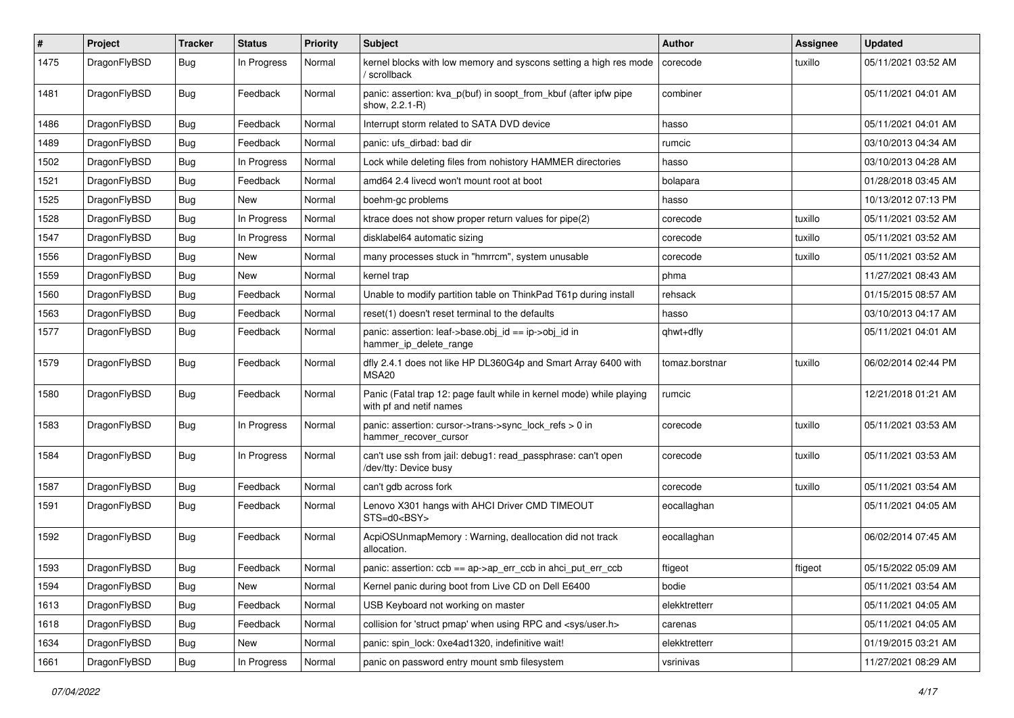| $\#$ | Project      | <b>Tracker</b> | <b>Status</b> | <b>Priority</b> | Subject                                                                                         | <b>Author</b>  | <b>Assignee</b> | <b>Updated</b>      |
|------|--------------|----------------|---------------|-----------------|-------------------------------------------------------------------------------------------------|----------------|-----------------|---------------------|
| 1475 | DragonFlyBSD | Bug            | In Progress   | Normal          | kernel blocks with low memory and syscons setting a high res mode<br>' scrollback               | corecode       | tuxillo         | 05/11/2021 03:52 AM |
| 1481 | DragonFlyBSD | Bug            | Feedback      | Normal          | panic: assertion: kva_p(buf) in soopt_from_kbuf (after ipfw pipe<br>show, 2.2.1-R)              | combiner       |                 | 05/11/2021 04:01 AM |
| 1486 | DragonFlyBSD | Bug            | Feedback      | Normal          | Interrupt storm related to SATA DVD device                                                      | hasso          |                 | 05/11/2021 04:01 AM |
| 1489 | DragonFlyBSD | <b>Bug</b>     | Feedback      | Normal          | panic: ufs dirbad: bad dir                                                                      | rumcic         |                 | 03/10/2013 04:34 AM |
| 1502 | DragonFlyBSD | <b>Bug</b>     | In Progress   | Normal          | Lock while deleting files from nohistory HAMMER directories                                     | hasso          |                 | 03/10/2013 04:28 AM |
| 1521 | DragonFlyBSD | <b>Bug</b>     | Feedback      | Normal          | amd64 2.4 livecd won't mount root at boot                                                       | bolapara       |                 | 01/28/2018 03:45 AM |
| 1525 | DragonFlyBSD | <b>Bug</b>     | <b>New</b>    | Normal          | boehm-gc problems                                                                               | hasso          |                 | 10/13/2012 07:13 PM |
| 1528 | DragonFlyBSD | Bug            | In Progress   | Normal          | ktrace does not show proper return values for pipe(2)                                           | corecode       | tuxillo         | 05/11/2021 03:52 AM |
| 1547 | DragonFlyBSD | <b>Bug</b>     | In Progress   | Normal          | disklabel64 automatic sizing                                                                    | corecode       | tuxillo         | 05/11/2021 03:52 AM |
| 1556 | DragonFlyBSD | Bug            | <b>New</b>    | Normal          | many processes stuck in "hmrrcm", system unusable                                               | corecode       | tuxillo         | 05/11/2021 03:52 AM |
| 1559 | DragonFlyBSD | <b>Bug</b>     | New           | Normal          | kernel trap                                                                                     | phma           |                 | 11/27/2021 08:43 AM |
| 1560 | DragonFlyBSD | <b>Bug</b>     | Feedback      | Normal          | Unable to modify partition table on ThinkPad T61p during install                                | rehsack        |                 | 01/15/2015 08:57 AM |
| 1563 | DragonFlyBSD | Bug            | Feedback      | Normal          | reset(1) doesn't reset terminal to the defaults                                                 | hasso          |                 | 03/10/2013 04:17 AM |
| 1577 | DragonFlyBSD | Bug            | Feedback      | Normal          | panic: assertion: leaf->base.obj_id == ip->obj_id in<br>hammer_ip_delete_range                  | qhwt+dfly      |                 | 05/11/2021 04:01 AM |
| 1579 | DragonFlyBSD | <b>Bug</b>     | Feedback      | Normal          | dfly 2.4.1 does not like HP DL360G4p and Smart Array 6400 with<br>MSA20                         | tomaz.borstnar | tuxillo         | 06/02/2014 02:44 PM |
| 1580 | DragonFlyBSD | Bug            | Feedback      | Normal          | Panic (Fatal trap 12: page fault while in kernel mode) while playing<br>with pf and netif names | rumcic         |                 | 12/21/2018 01:21 AM |
| 1583 | DragonFlyBSD | Bug            | In Progress   | Normal          | panic: assertion: cursor->trans->sync_lock_refs > 0 in<br>hammer_recover_cursor                 | corecode       | tuxillo         | 05/11/2021 03:53 AM |
| 1584 | DragonFlyBSD | Bug            | In Progress   | Normal          | can't use ssh from jail: debug1: read_passphrase: can't open<br>/dev/tty: Device busy           | corecode       | tuxillo         | 05/11/2021 03:53 AM |
| 1587 | DragonFlyBSD | <b>Bug</b>     | Feedback      | Normal          | can't gdb across fork                                                                           | corecode       | tuxillo         | 05/11/2021 03:54 AM |
| 1591 | DragonFlyBSD | <b>Bug</b>     | Feedback      | Normal          | Lenovo X301 hangs with AHCI Driver CMD TIMEOUT<br>STS=d0 <bsy></bsy>                            | eocallaghan    |                 | 05/11/2021 04:05 AM |
| 1592 | DragonFlyBSD | <b>Bug</b>     | Feedback      | Normal          | AcpiOSUnmapMemory: Warning, deallocation did not track<br>allocation.                           | eocallaghan    |                 | 06/02/2014 07:45 AM |
| 1593 | DragonFlyBSD | <b>Bug</b>     | Feedback      | Normal          | panic: assertion: $\cosh = a$ p->ap err $\cosh$ in ahci put err $\cosh$                         | ftigeot        | ftigeot         | 05/15/2022 05:09 AM |
| 1594 | DragonFlyBSD | Bug            | New           | Normal          | Kernel panic during boot from Live CD on Dell E6400                                             | bodie          |                 | 05/11/2021 03:54 AM |
| 1613 | DragonFlyBSD | Bug            | Feedback      | Normal          | USB Keyboard not working on master                                                              | elekktretterr  |                 | 05/11/2021 04:05 AM |
| 1618 | DragonFlyBSD | <b>Bug</b>     | Feedback      | Normal          | collision for 'struct pmap' when using RPC and <sys user.h=""></sys>                            | carenas        |                 | 05/11/2021 04:05 AM |
| 1634 | DragonFlyBSD | <b>Bug</b>     | New           | Normal          | panic: spin_lock: 0xe4ad1320, indefinitive wait!                                                | elekktretterr  |                 | 01/19/2015 03:21 AM |
| 1661 | DragonFlyBSD | <b>Bug</b>     | In Progress   | Normal          | panic on password entry mount smb filesystem                                                    | vsrinivas      |                 | 11/27/2021 08:29 AM |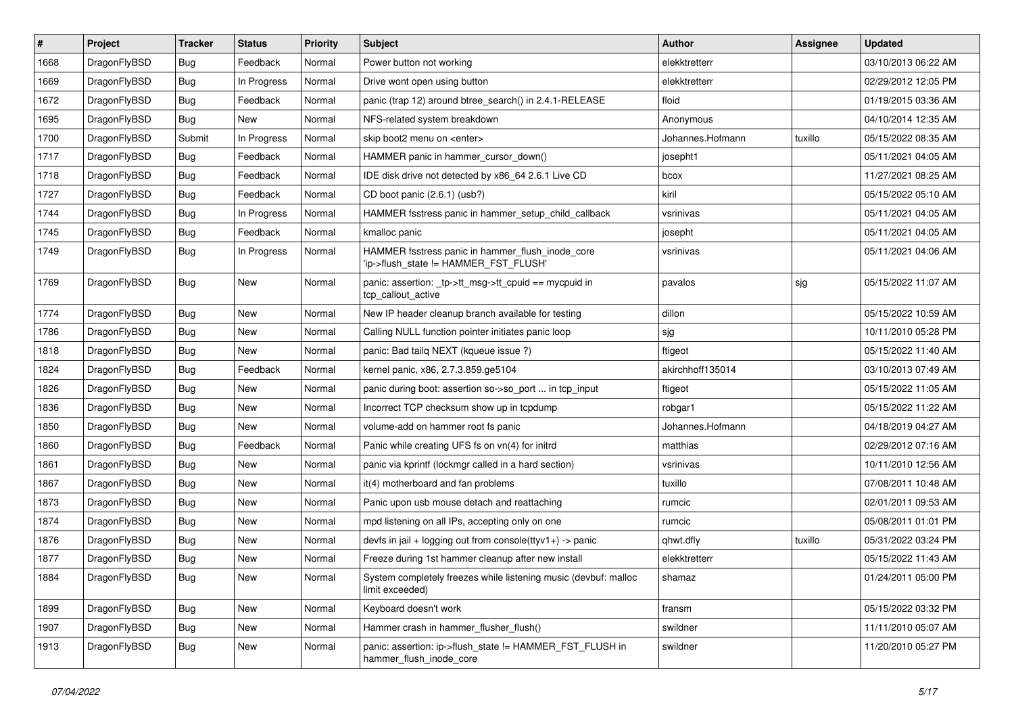| $\vert$ # | Project      | <b>Tracker</b> | <b>Status</b> | <b>Priority</b> | <b>Subject</b>                                                                            | <b>Author</b>    | <b>Assignee</b> | <b>Updated</b>      |
|-----------|--------------|----------------|---------------|-----------------|-------------------------------------------------------------------------------------------|------------------|-----------------|---------------------|
| 1668      | DragonFlyBSD | Bug            | Feedback      | Normal          | Power button not working                                                                  | elekktretterr    |                 | 03/10/2013 06:22 AM |
| 1669      | DragonFlyBSD | <b>Bug</b>     | In Progress   | Normal          | Drive wont open using button                                                              | elekktretterr    |                 | 02/29/2012 12:05 PM |
| 1672      | DragonFlyBSD | <b>Bug</b>     | Feedback      | Normal          | panic (trap 12) around btree_search() in 2.4.1-RELEASE                                    | floid            |                 | 01/19/2015 03:36 AM |
| 1695      | DragonFlyBSD | Bug            | <b>New</b>    | Normal          | NFS-related system breakdown                                                              | Anonymous        |                 | 04/10/2014 12:35 AM |
| 1700      | DragonFlyBSD | Submit         | In Progress   | Normal          | skip boot2 menu on <enter></enter>                                                        | Johannes.Hofmann | tuxillo         | 05/15/2022 08:35 AM |
| 1717      | DragonFlyBSD | Bug            | Feedback      | Normal          | HAMMER panic in hammer cursor down()                                                      | josepht1         |                 | 05/11/2021 04:05 AM |
| 1718      | DragonFlyBSD | Bug            | Feedback      | Normal          | IDE disk drive not detected by x86 64 2.6.1 Live CD                                       | bcox             |                 | 11/27/2021 08:25 AM |
| 1727      | DragonFlyBSD | Bug            | Feedback      | Normal          | CD boot panic (2.6.1) (usb?)                                                              | kiril            |                 | 05/15/2022 05:10 AM |
| 1744      | DragonFlyBSD | <b>Bug</b>     | In Progress   | Normal          | HAMMER fsstress panic in hammer_setup_child_callback                                      | vsrinivas        |                 | 05/11/2021 04:05 AM |
| 1745      | DragonFlyBSD | <b>Bug</b>     | Feedback      | Normal          | kmalloc panic                                                                             | josepht          |                 | 05/11/2021 04:05 AM |
| 1749      | DragonFlyBSD | Bug            | In Progress   | Normal          | HAMMER fsstress panic in hammer_flush_inode_core<br>'ip->flush_state != HAMMER_FST_FLUSH' | vsrinivas        |                 | 05/11/2021 04:06 AM |
| 1769      | DragonFlyBSD | <b>Bug</b>     | New           | Normal          | panic: assertion: _tp->tt_msg->tt_cpuid == mycpuid in<br>tcp_callout_active               | pavalos          | sjg             | 05/15/2022 11:07 AM |
| 1774      | DragonFlyBSD | Bug            | New           | Normal          | New IP header cleanup branch available for testing                                        | dillon           |                 | 05/15/2022 10:59 AM |
| 1786      | DragonFlyBSD | Bug            | <b>New</b>    | Normal          | Calling NULL function pointer initiates panic loop                                        | sjg              |                 | 10/11/2010 05:28 PM |
| 1818      | DragonFlyBSD | <b>Bug</b>     | <b>New</b>    | Normal          | panic: Bad tailg NEXT (kgueue issue ?)                                                    | ftigeot          |                 | 05/15/2022 11:40 AM |
| 1824      | DragonFlyBSD | <b>Bug</b>     | Feedback      | Normal          | kernel panic, x86, 2.7.3.859.ge5104                                                       | akirchhoff135014 |                 | 03/10/2013 07:49 AM |
| 1826      | DragonFlyBSD | <b>Bug</b>     | New           | Normal          | panic during boot: assertion so->so_port  in tcp_input                                    | ftigeot          |                 | 05/15/2022 11:05 AM |
| 1836      | DragonFlyBSD | Bug            | <b>New</b>    | Normal          | Incorrect TCP checksum show up in tcpdump                                                 | robgar1          |                 | 05/15/2022 11:22 AM |
| 1850      | DragonFlyBSD | Bug            | New           | Normal          | volume-add on hammer root fs panic                                                        | Johannes.Hofmann |                 | 04/18/2019 04:27 AM |
| 1860      | DragonFlyBSD | <b>Bug</b>     | Feedback      | Normal          | Panic while creating UFS fs on vn(4) for initrd                                           | matthias         |                 | 02/29/2012 07:16 AM |
| 1861      | DragonFlyBSD | <b>Bug</b>     | <b>New</b>    | Normal          | panic via kprintf (lockmgr called in a hard section)                                      | vsrinivas        |                 | 10/11/2010 12:56 AM |
| 1867      | DragonFlyBSD | <b>Bug</b>     | <b>New</b>    | Normal          | it(4) motherboard and fan problems                                                        | tuxillo          |                 | 07/08/2011 10:48 AM |
| 1873      | DragonFlyBSD | Bug            | New           | Normal          | Panic upon usb mouse detach and reattaching                                               | rumcic           |                 | 02/01/2011 09:53 AM |
| 1874      | DragonFlyBSD | <b>Bug</b>     | <b>New</b>    | Normal          | mpd listening on all IPs, accepting only on one                                           | rumcic           |                 | 05/08/2011 01:01 PM |
| 1876      | DragonFlyBSD | <b>Bug</b>     | New           | Normal          | devfs in jail + logging out from console(ttyv1+) -> panic                                 | qhwt.dfly        | tuxillo         | 05/31/2022 03:24 PM |
| 1877      | DragonFlyBSD | Bug            | <b>New</b>    | Normal          | Freeze during 1st hammer cleanup after new install                                        | elekktretterr    |                 | 05/15/2022 11:43 AM |
| 1884      | DragonFlyBSD | <b>Bug</b>     | New           | Normal          | System completely freezes while listening music (devbuf: malloc<br>limit exceeded)        | shamaz           |                 | 01/24/2011 05:00 PM |
| 1899      | DragonFlyBSD | <b>Bug</b>     | New           | Normal          | Keyboard doesn't work                                                                     | fransm           |                 | 05/15/2022 03:32 PM |
| 1907      | DragonFlyBSD | <b>Bug</b>     | New           | Normal          | Hammer crash in hammer flusher flush()                                                    | swildner         |                 | 11/11/2010 05:07 AM |
| 1913      | DragonFlyBSD | Bug            | New           | Normal          | panic: assertion: ip->flush_state != HAMMER_FST_FLUSH in<br>hammer flush inode core       | swildner         |                 | 11/20/2010 05:27 PM |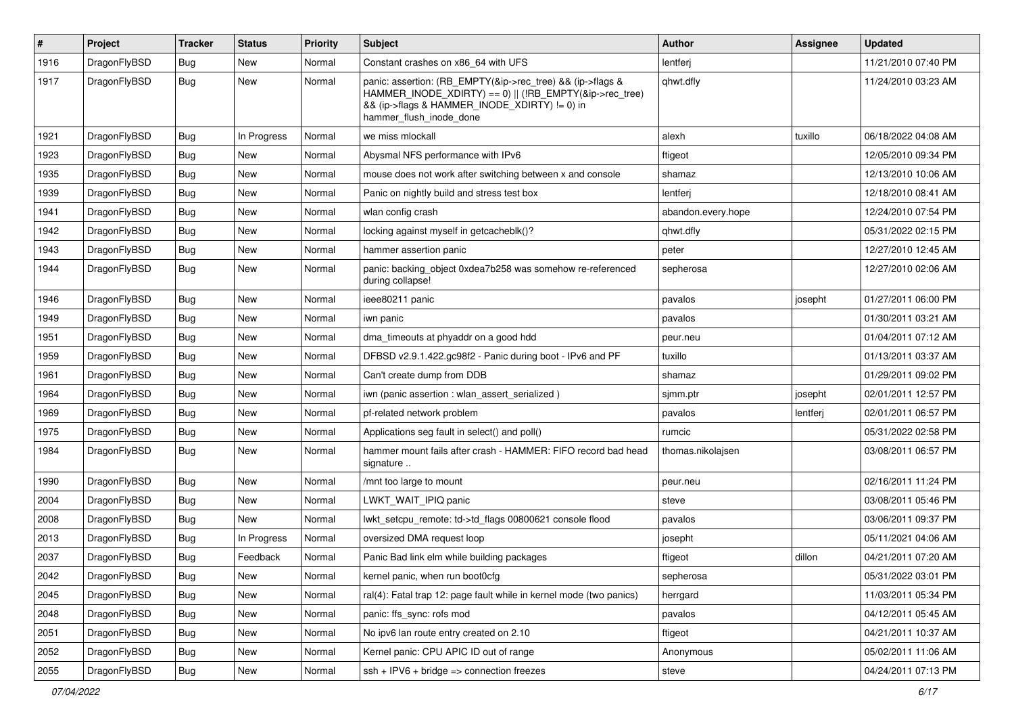| $\pmb{\#}$ | Project      | <b>Tracker</b> | <b>Status</b> | <b>Priority</b> | <b>Subject</b>                                                                                                                                                                                    | <b>Author</b>      | Assignee | <b>Updated</b>      |
|------------|--------------|----------------|---------------|-----------------|---------------------------------------------------------------------------------------------------------------------------------------------------------------------------------------------------|--------------------|----------|---------------------|
| 1916       | DragonFlyBSD | Bug            | New           | Normal          | Constant crashes on x86_64 with UFS                                                                                                                                                               | lentferj           |          | 11/21/2010 07:40 PM |
| 1917       | DragonFlyBSD | Bug            | New           | Normal          | panic: assertion: (RB_EMPTY(&ip->rec_tree) && (ip->flags &<br>HAMMER_INODE_XDIRTY) == 0)    (!RB_EMPTY(&ip->rec_tree)<br>&& (ip->flags & HAMMER_INODE_XDIRTY) != 0) in<br>hammer_flush_inode_done | qhwt.dfly          |          | 11/24/2010 03:23 AM |
| 1921       | DragonFlyBSD | <b>Bug</b>     | In Progress   | Normal          | we miss mlockall                                                                                                                                                                                  | alexh              | tuxillo  | 06/18/2022 04:08 AM |
| 1923       | DragonFlyBSD | Bug            | New           | Normal          | Abysmal NFS performance with IPv6                                                                                                                                                                 | ftigeot            |          | 12/05/2010 09:34 PM |
| 1935       | DragonFlyBSD | Bug            | <b>New</b>    | Normal          | mouse does not work after switching between x and console                                                                                                                                         | shamaz             |          | 12/13/2010 10:06 AM |
| 1939       | DragonFlyBSD | Bug            | New           | Normal          | Panic on nightly build and stress test box                                                                                                                                                        | lentferj           |          | 12/18/2010 08:41 AM |
| 1941       | DragonFlyBSD | Bug            | <b>New</b>    | Normal          | wlan config crash                                                                                                                                                                                 | abandon.every.hope |          | 12/24/2010 07:54 PM |
| 1942       | DragonFlyBSD | Bug            | <b>New</b>    | Normal          | locking against myself in getcacheblk()?                                                                                                                                                          | qhwt.dfly          |          | 05/31/2022 02:15 PM |
| 1943       | DragonFlyBSD | Bug            | New           | Normal          | hammer assertion panic                                                                                                                                                                            | peter              |          | 12/27/2010 12:45 AM |
| 1944       | DragonFlyBSD | Bug            | New           | Normal          | panic: backing object 0xdea7b258 was somehow re-referenced<br>during collapse!                                                                                                                    | sepherosa          |          | 12/27/2010 02:06 AM |
| 1946       | DragonFlyBSD | <b>Bug</b>     | <b>New</b>    | Normal          | ieee80211 panic                                                                                                                                                                                   | pavalos            | josepht  | 01/27/2011 06:00 PM |
| 1949       | DragonFlyBSD | <b>Bug</b>     | <b>New</b>    | Normal          | iwn panic                                                                                                                                                                                         | pavalos            |          | 01/30/2011 03:21 AM |
| 1951       | DragonFlyBSD | Bug            | <b>New</b>    | Normal          | dma timeouts at phyaddr on a good hdd                                                                                                                                                             | peur.neu           |          | 01/04/2011 07:12 AM |
| 1959       | DragonFlyBSD | Bug            | <b>New</b>    | Normal          | DFBSD v2.9.1.422.gc98f2 - Panic during boot - IPv6 and PF                                                                                                                                         | tuxillo            |          | 01/13/2011 03:37 AM |
| 1961       | DragonFlyBSD | Bug            | New           | Normal          | Can't create dump from DDB                                                                                                                                                                        | shamaz             |          | 01/29/2011 09:02 PM |
| 1964       | DragonFlyBSD | Bug            | <b>New</b>    | Normal          | iwn (panic assertion : wlan assert serialized)                                                                                                                                                    | sjmm.ptr           | josepht  | 02/01/2011 12:57 PM |
| 1969       | DragonFlyBSD | Bug            | New           | Normal          | pf-related network problem                                                                                                                                                                        | pavalos            | lentferj | 02/01/2011 06:57 PM |
| 1975       | DragonFlyBSD | Bug            | New           | Normal          | Applications seg fault in select() and poll()                                                                                                                                                     | rumcic             |          | 05/31/2022 02:58 PM |
| 1984       | DragonFlyBSD | Bug            | <b>New</b>    | Normal          | hammer mount fails after crash - HAMMER: FIFO record bad head<br>signature                                                                                                                        | thomas.nikolajsen  |          | 03/08/2011 06:57 PM |
| 1990       | DragonFlyBSD | Bug            | <b>New</b>    | Normal          | /mnt too large to mount                                                                                                                                                                           | peur.neu           |          | 02/16/2011 11:24 PM |
| 2004       | DragonFlyBSD | <b>Bug</b>     | New           | Normal          | LWKT_WAIT_IPIQ panic                                                                                                                                                                              | steve              |          | 03/08/2011 05:46 PM |
| 2008       | DragonFlyBSD | Bug            | New           | Normal          | lwkt setcpu remote: td->td flags 00800621 console flood                                                                                                                                           | pavalos            |          | 03/06/2011 09:37 PM |
| 2013       | DragonFlyBSD | Bug            | In Progress   | Normal          | oversized DMA request loop                                                                                                                                                                        | josepht            |          | 05/11/2021 04:06 AM |
| 2037       | DragonFlyBSD | Bug            | Feedback      | Normal          | Panic Bad link elm while building packages                                                                                                                                                        | ftigeot            | dillon   | 04/21/2011 07:20 AM |
| 2042       | DragonFlyBSD | Bug            | New           | Normal          | kernel panic, when run boot0cfg                                                                                                                                                                   | sepherosa          |          | 05/31/2022 03:01 PM |
| 2045       | DragonFlyBSD | Bug            | New           | Normal          | ral(4): Fatal trap 12: page fault while in kernel mode (two panics)                                                                                                                               | herrgard           |          | 11/03/2011 05:34 PM |
| 2048       | DragonFlyBSD | <b>Bug</b>     | New           | Normal          | panic: ffs sync: rofs mod                                                                                                                                                                         | pavalos            |          | 04/12/2011 05:45 AM |
| 2051       | DragonFlyBSD | <b>Bug</b>     | New           | Normal          | No ipv6 lan route entry created on 2.10                                                                                                                                                           | ftigeot            |          | 04/21/2011 10:37 AM |
| 2052       | DragonFlyBSD | Bug            | New           | Normal          | Kernel panic: CPU APIC ID out of range                                                                                                                                                            | Anonymous          |          | 05/02/2011 11:06 AM |
| 2055       | DragonFlyBSD | Bug            | New           | Normal          | $ssh + IPV6 + bridge \Rightarrow connection freezes$                                                                                                                                              | steve              |          | 04/24/2011 07:13 PM |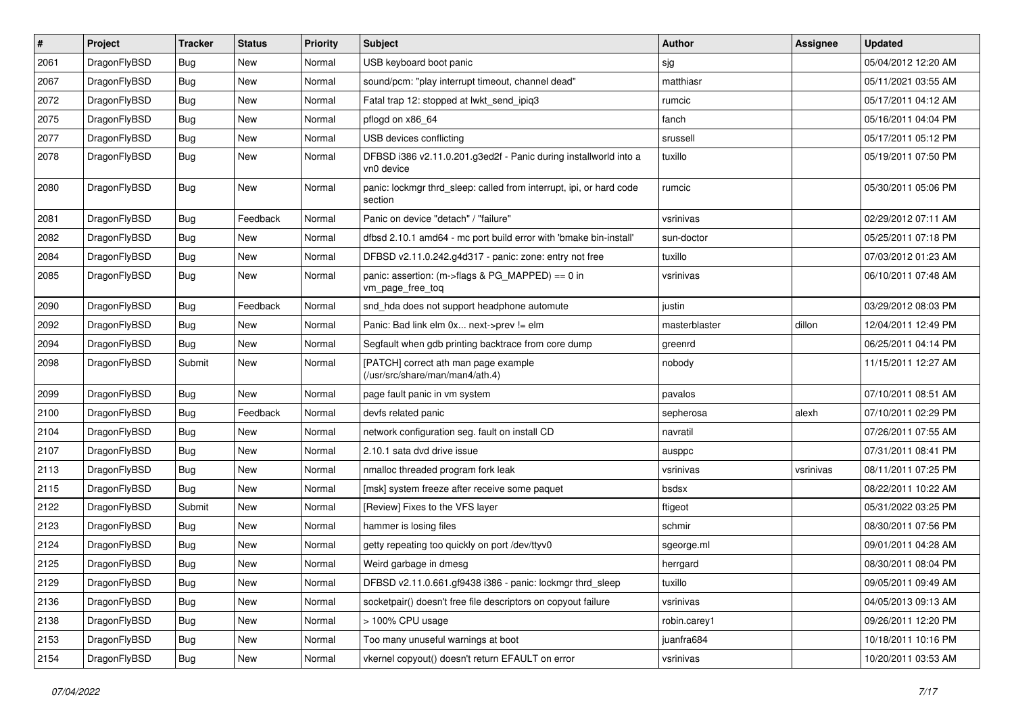| $\sharp$ | Project      | <b>Tracker</b> | <b>Status</b> | <b>Priority</b> | Subject                                                                        | <b>Author</b> | Assignee  | <b>Updated</b>      |
|----------|--------------|----------------|---------------|-----------------|--------------------------------------------------------------------------------|---------------|-----------|---------------------|
| 2061     | DragonFlyBSD | Bug            | New           | Normal          | USB keyboard boot panic                                                        | sjg           |           | 05/04/2012 12:20 AM |
| 2067     | DragonFlyBSD | Bug            | New           | Normal          | sound/pcm: "play interrupt timeout, channel dead"                              | matthiasr     |           | 05/11/2021 03:55 AM |
| 2072     | DragonFlyBSD | Bug            | New           | Normal          | Fatal trap 12: stopped at lwkt send ipig3                                      | rumcic        |           | 05/17/2011 04:12 AM |
| 2075     | DragonFlyBSD | Bug            | New           | Normal          | pflogd on x86_64                                                               | fanch         |           | 05/16/2011 04:04 PM |
| 2077     | DragonFlyBSD | Bug            | New           | Normal          | USB devices conflicting                                                        | srussell      |           | 05/17/2011 05:12 PM |
| 2078     | DragonFlyBSD | Bug            | New           | Normal          | DFBSD i386 v2.11.0.201.g3ed2f - Panic during installworld into a<br>vn0 device | tuxillo       |           | 05/19/2011 07:50 PM |
| 2080     | DragonFlyBSD | <b>Bug</b>     | <b>New</b>    | Normal          | panic: lockmgr thrd_sleep: called from interrupt, ipi, or hard code<br>section | rumcic        |           | 05/30/2011 05:06 PM |
| 2081     | DragonFlyBSD | Bug            | Feedback      | Normal          | Panic on device "detach" / "failure"                                           | vsrinivas     |           | 02/29/2012 07:11 AM |
| 2082     | DragonFlyBSD | Bug            | New           | Normal          | dfbsd 2.10.1 amd64 - mc port build error with 'bmake bin-install'              | sun-doctor    |           | 05/25/2011 07:18 PM |
| 2084     | DragonFlyBSD | <b>Bug</b>     | New           | Normal          | DFBSD v2.11.0.242.g4d317 - panic: zone: entry not free                         | tuxillo       |           | 07/03/2012 01:23 AM |
| 2085     | DragonFlyBSD | Bug            | New           | Normal          | panic: assertion: (m->flags & PG_MAPPED) == 0 in<br>vm_page_free_toq           | vsrinivas     |           | 06/10/2011 07:48 AM |
| 2090     | DragonFlyBSD | Bug            | Feedback      | Normal          | snd_hda does not support headphone automute                                    | justin        |           | 03/29/2012 08:03 PM |
| 2092     | DragonFlyBSD | Bug            | New           | Normal          | Panic: Bad link elm 0x next->prev != elm                                       | masterblaster | dillon    | 12/04/2011 12:49 PM |
| 2094     | DragonFlyBSD | Bug            | New           | Normal          | Segfault when gdb printing backtrace from core dump                            | greenrd       |           | 06/25/2011 04:14 PM |
| 2098     | DragonFlyBSD | Submit         | New           | Normal          | [PATCH] correct ath man page example<br>(/usr/src/share/man/man4/ath.4)        | nobody        |           | 11/15/2011 12:27 AM |
| 2099     | DragonFlyBSD | Bug            | New           | Normal          | page fault panic in vm system                                                  | pavalos       |           | 07/10/2011 08:51 AM |
| 2100     | DragonFlyBSD | Bug            | Feedback      | Normal          | devfs related panic                                                            | sepherosa     | alexh     | 07/10/2011 02:29 PM |
| 2104     | DragonFlyBSD | <b>Bug</b>     | New           | Normal          | network configuration seg. fault on install CD                                 | navratil      |           | 07/26/2011 07:55 AM |
| 2107     | DragonFlyBSD | Bug            | <b>New</b>    | Normal          | 2.10.1 sata dvd drive issue                                                    | ausppc        |           | 07/31/2011 08:41 PM |
| 2113     | DragonFlyBSD | Bug            | <b>New</b>    | Normal          | nmalloc threaded program fork leak                                             | vsrinivas     | vsrinivas | 08/11/2011 07:25 PM |
| 2115     | DragonFlyBSD | Bug            | New           | Normal          | [msk] system freeze after receive some paquet                                  | bsdsx         |           | 08/22/2011 10:22 AM |
| 2122     | DragonFlyBSD | Submit         | New           | Normal          | [Review] Fixes to the VFS layer                                                | ftigeot       |           | 05/31/2022 03:25 PM |
| 2123     | DragonFlyBSD | <b>Bug</b>     | New           | Normal          | hammer is losing files                                                         | schmir        |           | 08/30/2011 07:56 PM |
| 2124     | DragonFlyBSD | Bug            | <b>New</b>    | Normal          | getty repeating too quickly on port /dev/ttyv0                                 | sgeorge.ml    |           | 09/01/2011 04:28 AM |
| 2125     | DragonFlyBSD | Bug            | New           | Normal          | Weird garbage in dmesg                                                         | herrgard      |           | 08/30/2011 08:04 PM |
| 2129     | DragonFlyBSD | <b>Bug</b>     | New           | Normal          | DFBSD v2.11.0.661.gf9438 i386 - panic: lockmgr thrd_sleep                      | tuxillo       |           | 09/05/2011 09:49 AM |
| 2136     | DragonFlyBSD | <b>Bug</b>     | <b>New</b>    | Normal          | socketpair() doesn't free file descriptors on copyout failure                  | vsrinivas     |           | 04/05/2013 09:13 AM |
| 2138     | DragonFlyBSD | <b>Bug</b>     | New           | Normal          | > 100% CPU usage                                                               | robin.carey1  |           | 09/26/2011 12:20 PM |
| 2153     | DragonFlyBSD | <b>Bug</b>     | New           | Normal          | Too many unuseful warnings at boot                                             | juanfra684    |           | 10/18/2011 10:16 PM |
| 2154     | DragonFlyBSD | <b>Bug</b>     | New           | Normal          | vkernel copyout() doesn't return EFAULT on error                               | vsrinivas     |           | 10/20/2011 03:53 AM |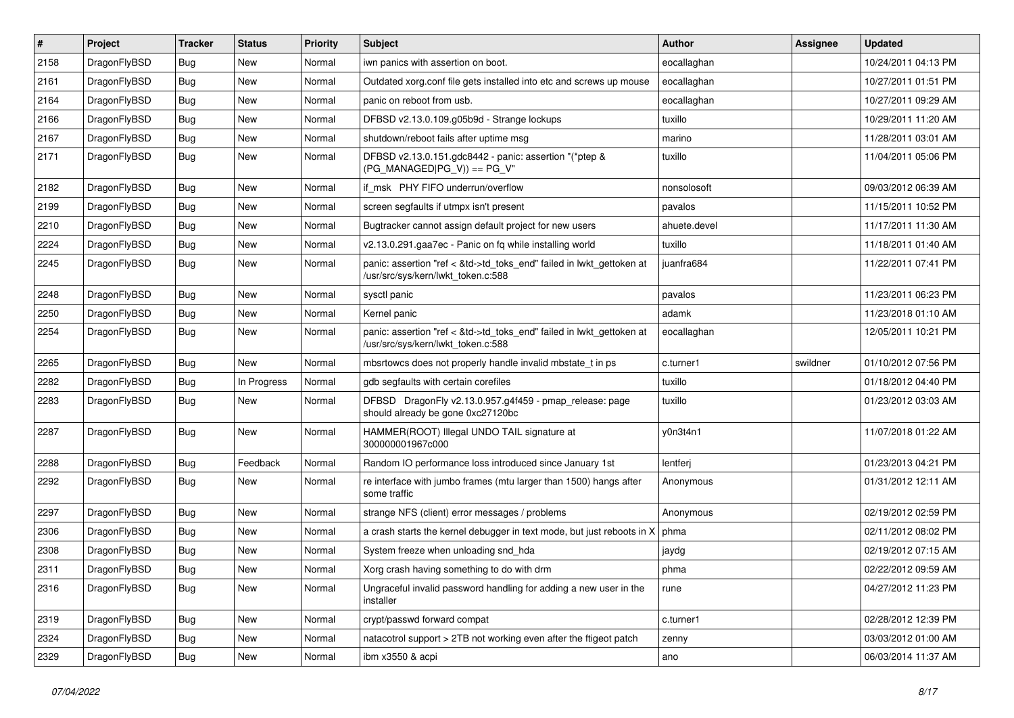| $\sharp$ | Project      | <b>Tracker</b> | <b>Status</b> | <b>Priority</b> | Subject                                                                                                    | <b>Author</b> | Assignee | <b>Updated</b>      |
|----------|--------------|----------------|---------------|-----------------|------------------------------------------------------------------------------------------------------------|---------------|----------|---------------------|
| 2158     | DragonFlyBSD | Bug            | <b>New</b>    | Normal          | iwn panics with assertion on boot.                                                                         | eocallaghan   |          | 10/24/2011 04:13 PM |
| 2161     | DragonFlyBSD | Bug            | <b>New</b>    | Normal          | Outdated xorg.conf file gets installed into etc and screws up mouse                                        | eocallaghan   |          | 10/27/2011 01:51 PM |
| 2164     | DragonFlyBSD | Bug            | New           | Normal          | panic on reboot from usb.                                                                                  | eocallaghan   |          | 10/27/2011 09:29 AM |
| 2166     | DragonFlyBSD | Bug            | New           | Normal          | DFBSD v2.13.0.109.g05b9d - Strange lockups                                                                 | tuxillo       |          | 10/29/2011 11:20 AM |
| 2167     | DragonFlyBSD | Bug            | New           | Normal          | shutdown/reboot fails after uptime msg                                                                     | marino        |          | 11/28/2011 03:01 AM |
| 2171     | DragonFlyBSD | Bug            | <b>New</b>    | Normal          | DFBSD v2.13.0.151.gdc8442 - panic: assertion "(*ptep &<br>$(PG_MANAGED PG_V)) == PG_V"$                    | tuxillo       |          | 11/04/2011 05:06 PM |
| 2182     | DragonFlyBSD | Bug            | New           | Normal          | if msk PHY FIFO underrun/overflow                                                                          | nonsolosoft   |          | 09/03/2012 06:39 AM |
| 2199     | DragonFlyBSD | Bug            | New           | Normal          | screen segfaults if utmpx isn't present                                                                    | pavalos       |          | 11/15/2011 10:52 PM |
| 2210     | DragonFlyBSD | Bug            | <b>New</b>    | Normal          | Bugtracker cannot assign default project for new users                                                     | ahuete.devel  |          | 11/17/2011 11:30 AM |
| 2224     | DragonFlyBSD | Bug            | New           | Normal          | v2.13.0.291.gaa7ec - Panic on fq while installing world                                                    | tuxillo       |          | 11/18/2011 01:40 AM |
| 2245     | DragonFlyBSD | <b>Bug</b>     | <b>New</b>    | Normal          | panic: assertion "ref < &td->td_toks_end" failed in lwkt_gettoken at<br>/usr/src/sys/kern/lwkt_token.c:588 | juanfra684    |          | 11/22/2011 07:41 PM |
| 2248     | DragonFlyBSD | Bug            | New           | Normal          | sysctl panic                                                                                               | pavalos       |          | 11/23/2011 06:23 PM |
| 2250     | DragonFlyBSD | Bug            | New           | Normal          | Kernel panic                                                                                               | adamk         |          | 11/23/2018 01:10 AM |
| 2254     | DragonFlyBSD | Bug            | <b>New</b>    | Normal          | panic: assertion "ref < &td->td_toks_end" failed in lwkt_gettoken at<br>/usr/src/sys/kern/lwkt_token.c:588 | eocallaghan   |          | 12/05/2011 10:21 PM |
| 2265     | DragonFlyBSD | Bug            | <b>New</b>    | Normal          | mbsrtowcs does not properly handle invalid mbstate_t in ps                                                 | c.turner1     | swildner | 01/10/2012 07:56 PM |
| 2282     | DragonFlyBSD | Bug            | In Progress   | Normal          | gdb segfaults with certain corefiles                                                                       | tuxillo       |          | 01/18/2012 04:40 PM |
| 2283     | DragonFlyBSD | Bug            | <b>New</b>    | Normal          | DFBSD DragonFly v2.13.0.957.g4f459 - pmap_release: page<br>should already be gone 0xc27120bc               | tuxillo       |          | 01/23/2012 03:03 AM |
| 2287     | DragonFlyBSD | Bug            | New           | Normal          | HAMMER(ROOT) Illegal UNDO TAIL signature at<br>300000001967c000                                            | y0n3t4n1      |          | 11/07/2018 01:22 AM |
| 2288     | DragonFlyBSD | Bug            | Feedback      | Normal          | Random IO performance loss introduced since January 1st                                                    | lentferj      |          | 01/23/2013 04:21 PM |
| 2292     | DragonFlyBSD | Bug            | New           | Normal          | re interface with jumbo frames (mtu larger than 1500) hangs after<br>some traffic                          | Anonymous     |          | 01/31/2012 12:11 AM |
| 2297     | DragonFlyBSD | Bug            | <b>New</b>    | Normal          | strange NFS (client) error messages / problems                                                             | Anonymous     |          | 02/19/2012 02:59 PM |
| 2306     | DragonFlyBSD | Bug            | New           | Normal          | a crash starts the kernel debugger in text mode, but just reboots in X                                     | phma          |          | 02/11/2012 08:02 PM |
| 2308     | DragonFlyBSD | Bug            | New           | Normal          | System freeze when unloading snd_hda                                                                       | jaydg         |          | 02/19/2012 07:15 AM |
| 2311     | DragonFlyBSD | Bug            | <b>New</b>    | Normal          | Xorg crash having something to do with drm                                                                 | phma          |          | 02/22/2012 09:59 AM |
| 2316     | DragonFlyBSD | <b>Bug</b>     | New           | Normal          | Ungraceful invalid password handling for adding a new user in the<br>installer                             | rune          |          | 04/27/2012 11:23 PM |
| 2319     | DragonFlyBSD | <b>Bug</b>     | <b>New</b>    | Normal          | crypt/passwd forward compat                                                                                | c.turner1     |          | 02/28/2012 12:39 PM |
| 2324     | DragonFlyBSD | Bug            | New           | Normal          | natacotrol support > 2TB not working even after the ftigeot patch                                          | zenny         |          | 03/03/2012 01:00 AM |
| 2329     | DragonFlyBSD | <b>Bug</b>     | New           | Normal          | ibm x3550 & acpi                                                                                           | ano           |          | 06/03/2014 11:37 AM |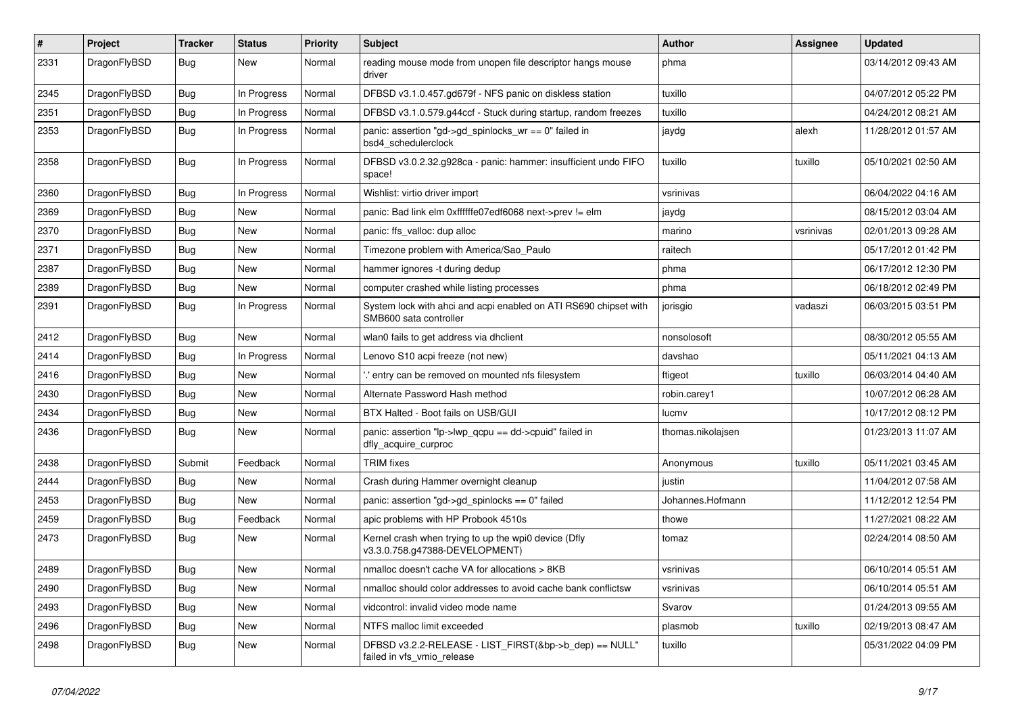| $\#$ | Project      | <b>Tracker</b> | <b>Status</b> | <b>Priority</b> | Subject                                                                                    | <b>Author</b>     | Assignee  | <b>Updated</b>      |
|------|--------------|----------------|---------------|-----------------|--------------------------------------------------------------------------------------------|-------------------|-----------|---------------------|
| 2331 | DragonFlyBSD | Bug            | New           | Normal          | reading mouse mode from unopen file descriptor hangs mouse<br>driver                       | phma              |           | 03/14/2012 09:43 AM |
| 2345 | DragonFlyBSD | Bug            | In Progress   | Normal          | DFBSD v3.1.0.457.gd679f - NFS panic on diskless station                                    | tuxillo           |           | 04/07/2012 05:22 PM |
| 2351 | DragonFlyBSD | <b>Bug</b>     | In Progress   | Normal          | DFBSD v3.1.0.579.g44ccf - Stuck during startup, random freezes                             | tuxillo           |           | 04/24/2012 08:21 AM |
| 2353 | DragonFlyBSD | Bug            | In Progress   | Normal          | panic: assertion "gd->gd_spinlocks_wr == 0" failed in<br>bsd4_schedulerclock               | jaydg             | alexh     | 11/28/2012 01:57 AM |
| 2358 | DragonFlyBSD | Bug            | In Progress   | Normal          | DFBSD v3.0.2.32.g928ca - panic: hammer: insufficient undo FIFO<br>space!                   | tuxillo           | tuxillo   | 05/10/2021 02:50 AM |
| 2360 | DragonFlyBSD | Bug            | In Progress   | Normal          | Wishlist: virtio driver import                                                             | vsrinivas         |           | 06/04/2022 04:16 AM |
| 2369 | DragonFlyBSD | <b>Bug</b>     | New           | Normal          | panic: Bad link elm 0xffffffe07edf6068 next->prev != elm                                   | jaydg             |           | 08/15/2012 03:04 AM |
| 2370 | DragonFlyBSD | <b>Bug</b>     | New           | Normal          | panic: ffs valloc: dup alloc                                                               | marino            | vsrinivas | 02/01/2013 09:28 AM |
| 2371 | DragonFlyBSD | <b>Bug</b>     | <b>New</b>    | Normal          | Timezone problem with America/Sao_Paulo                                                    | raitech           |           | 05/17/2012 01:42 PM |
| 2387 | DragonFlyBSD | <b>Bug</b>     | New           | Normal          | hammer ignores -t during dedup                                                             | phma              |           | 06/17/2012 12:30 PM |
| 2389 | DragonFlyBSD | <b>Bug</b>     | New           | Normal          | computer crashed while listing processes                                                   | phma              |           | 06/18/2012 02:49 PM |
| 2391 | DragonFlyBSD | <b>Bug</b>     | In Progress   | Normal          | System lock with ahci and acpi enabled on ATI RS690 chipset with<br>SMB600 sata controller | jorisgio          | vadaszi   | 06/03/2015 03:51 PM |
| 2412 | DragonFlyBSD | <b>Bug</b>     | New           | Normal          | wlan0 fails to get address via dhclient                                                    | nonsolosoft       |           | 08/30/2012 05:55 AM |
| 2414 | DragonFlyBSD | <b>Bug</b>     | In Progress   | Normal          | Lenovo S10 acpi freeze (not new)                                                           | davshao           |           | 05/11/2021 04:13 AM |
| 2416 | DragonFlyBSD | <b>Bug</b>     | New           | Normal          | ".' entry can be removed on mounted nfs filesystem                                         | ftigeot           | tuxillo   | 06/03/2014 04:40 AM |
| 2430 | DragonFlyBSD | <b>Bug</b>     | New           | Normal          | Alternate Password Hash method                                                             | robin.carey1      |           | 10/07/2012 06:28 AM |
| 2434 | DragonFlyBSD | <b>Bug</b>     | New           | Normal          | BTX Halted - Boot fails on USB/GUI                                                         | lucmv             |           | 10/17/2012 08:12 PM |
| 2436 | DragonFlyBSD | <b>Bug</b>     | New           | Normal          | panic: assertion "lp->lwp_qcpu == dd->cpuid" failed in<br>dfly_acquire_curproc             | thomas.nikolajsen |           | 01/23/2013 11:07 AM |
| 2438 | DragonFlyBSD | Submit         | Feedback      | Normal          | <b>TRIM</b> fixes                                                                          | Anonymous         | tuxillo   | 05/11/2021 03:45 AM |
| 2444 | DragonFlyBSD | <b>Bug</b>     | <b>New</b>    | Normal          | Crash during Hammer overnight cleanup                                                      | justin            |           | 11/04/2012 07:58 AM |
| 2453 | DragonFlyBSD | <b>Bug</b>     | New           | Normal          | panic: assertion "gd->gd_spinlocks == $0$ " failed                                         | Johannes.Hofmann  |           | 11/12/2012 12:54 PM |
| 2459 | DragonFlyBSD | <b>Bug</b>     | Feedback      | Normal          | apic problems with HP Probook 4510s                                                        | thowe             |           | 11/27/2021 08:22 AM |
| 2473 | DragonFlyBSD | <b>Bug</b>     | <b>New</b>    | Normal          | Kernel crash when trying to up the wpi0 device (Dfly<br>v3.3.0.758.g47388-DEVELOPMENT)     | tomaz             |           | 02/24/2014 08:50 AM |
| 2489 | DragonFlyBSD | Bug            | <b>New</b>    | Normal          | nmalloc doesn't cache VA for allocations > 8KB                                             | vsrinivas         |           | 06/10/2014 05:51 AM |
| 2490 | DragonFlyBSD | <b>Bug</b>     | New           | Normal          | nmalloc should color addresses to avoid cache bank conflictsw                              | vsrinivas         |           | 06/10/2014 05:51 AM |
| 2493 | DragonFlyBSD | <b>Bug</b>     | <b>New</b>    | Normal          | vidcontrol: invalid video mode name                                                        | Svarov            |           | 01/24/2013 09:55 AM |
| 2496 | DragonFlyBSD | <b>Bug</b>     | <b>New</b>    | Normal          | NTFS malloc limit exceeded                                                                 | plasmob           | tuxillo   | 02/19/2013 08:47 AM |
| 2498 | DragonFlyBSD | <b>Bug</b>     | New           | Normal          | DFBSD v3.2.2-RELEASE - LIST_FIRST(&bp->b_dep) == NULL"<br>failed in vfs_vmio_release       | tuxillo           |           | 05/31/2022 04:09 PM |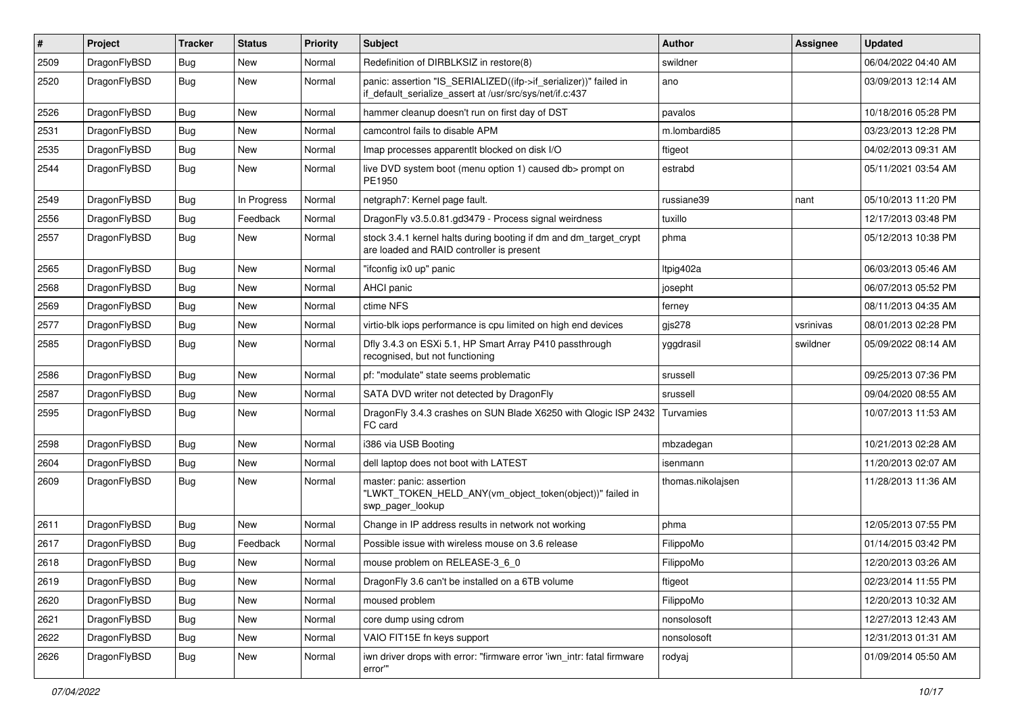| $\vert$ # | Project      | <b>Tracker</b> | <b>Status</b> | <b>Priority</b> | <b>Subject</b>                                                                                                               | Author            | Assignee  | <b>Updated</b>      |
|-----------|--------------|----------------|---------------|-----------------|------------------------------------------------------------------------------------------------------------------------------|-------------------|-----------|---------------------|
| 2509      | DragonFlyBSD | Bug            | <b>New</b>    | Normal          | Redefinition of DIRBLKSIZ in restore(8)                                                                                      | swildner          |           | 06/04/2022 04:40 AM |
| 2520      | DragonFlyBSD | Bug            | New           | Normal          | panic: assertion "IS_SERIALIZED((ifp->if_serializer))" failed in<br>if_default_serialize_assert at /usr/src/sys/net/if.c:437 | ano               |           | 03/09/2013 12:14 AM |
| 2526      | DragonFlyBSD | Bug            | <b>New</b>    | Normal          | hammer cleanup doesn't run on first day of DST                                                                               | pavalos           |           | 10/18/2016 05:28 PM |
| 2531      | DragonFlyBSD | <b>Bug</b>     | <b>New</b>    | Normal          | camcontrol fails to disable APM                                                                                              | m.lombardi85      |           | 03/23/2013 12:28 PM |
| 2535      | DragonFlyBSD | <b>Bug</b>     | New           | Normal          | Imap processes apparentlt blocked on disk I/O                                                                                | ftigeot           |           | 04/02/2013 09:31 AM |
| 2544      | DragonFlyBSD | Bug            | <b>New</b>    | Normal          | live DVD system boot (menu option 1) caused db> prompt on<br>PE1950                                                          | estrabd           |           | 05/11/2021 03:54 AM |
| 2549      | DragonFlyBSD | Bug            | In Progress   | Normal          | netgraph7: Kernel page fault.                                                                                                | russiane39        | nant      | 05/10/2013 11:20 PM |
| 2556      | DragonFlyBSD | <b>Bug</b>     | Feedback      | Normal          | DragonFly v3.5.0.81.gd3479 - Process signal weirdness                                                                        | tuxillo           |           | 12/17/2013 03:48 PM |
| 2557      | DragonFlyBSD | Bug            | <b>New</b>    | Normal          | stock 3.4.1 kernel halts during booting if dm and dm_target_crypt<br>are loaded and RAID controller is present               | phma              |           | 05/12/2013 10:38 PM |
| 2565      | DragonFlyBSD | Bug            | <b>New</b>    | Normal          | "ifconfig ix0 up" panic                                                                                                      | Itpig402a         |           | 06/03/2013 05:46 AM |
| 2568      | DragonFlyBSD | <b>Bug</b>     | New           | Normal          | <b>AHCI</b> panic                                                                                                            | josepht           |           | 06/07/2013 05:52 PM |
| 2569      | DragonFlyBSD | Bug            | <b>New</b>    | Normal          | ctime NFS                                                                                                                    | ferney            |           | 08/11/2013 04:35 AM |
| 2577      | DragonFlyBSD | <b>Bug</b>     | New           | Normal          | virtio-blk iops performance is cpu limited on high end devices                                                               | gjs278            | vsrinivas | 08/01/2013 02:28 PM |
| 2585      | DragonFlyBSD | Bug            | <b>New</b>    | Normal          | Dfly 3.4.3 on ESXi 5.1, HP Smart Array P410 passthrough<br>recognised, but not functioning                                   | yggdrasil         | swildner  | 05/09/2022 08:14 AM |
| 2586      | DragonFlyBSD | Bug            | <b>New</b>    | Normal          | pf: "modulate" state seems problematic                                                                                       | srussell          |           | 09/25/2013 07:36 PM |
| 2587      | DragonFlyBSD | Bug            | <b>New</b>    | Normal          | SATA DVD writer not detected by DragonFly                                                                                    | srussell          |           | 09/04/2020 08:55 AM |
| 2595      | DragonFlyBSD | Bug            | <b>New</b>    | Normal          | DragonFly 3.4.3 crashes on SUN Blade X6250 with Qlogic ISP 2432<br>FC card                                                   | Turvamies         |           | 10/07/2013 11:53 AM |
| 2598      | DragonFlyBSD | Bug            | <b>New</b>    | Normal          | i386 via USB Booting                                                                                                         | mbzadegan         |           | 10/21/2013 02:28 AM |
| 2604      | DragonFlyBSD | <b>Bug</b>     | <b>New</b>    | Normal          | dell laptop does not boot with LATEST                                                                                        | isenmann          |           | 11/20/2013 02:07 AM |
| 2609      | DragonFlyBSD | Bug            | <b>New</b>    | Normal          | master: panic: assertion<br>"LWKT_TOKEN_HELD_ANY(vm_object_token(object))" failed in<br>swp_pager_lookup                     | thomas.nikolajsen |           | 11/28/2013 11:36 AM |
| 2611      | DragonFlyBSD | <b>Bug</b>     | <b>New</b>    | Normal          | Change in IP address results in network not working                                                                          | phma              |           | 12/05/2013 07:55 PM |
| 2617      | DragonFlyBSD | <b>Bug</b>     | Feedback      | Normal          | Possible issue with wireless mouse on 3.6 release                                                                            | FilippoMo         |           | 01/14/2015 03:42 PM |
| 2618      | DragonFlyBSD | <b>Bug</b>     | New           | Normal          | mouse problem on RELEASE-3 6 0                                                                                               | FilippoMo         |           | 12/20/2013 03:26 AM |
| 2619      | DragonFlyBSD | Bug            | New           | Normal          | DragonFly 3.6 can't be installed on a 6TB volume                                                                             | ftigeot           |           | 02/23/2014 11:55 PM |
| 2620      | DragonFlyBSD | <b>Bug</b>     | New           | Normal          | moused problem                                                                                                               | FilippoMo         |           | 12/20/2013 10:32 AM |
| 2621      | DragonFlyBSD | <b>Bug</b>     | New           | Normal          | core dump using cdrom                                                                                                        | nonsolosoft       |           | 12/27/2013 12:43 AM |
| 2622      | DragonFlyBSD | <b>Bug</b>     | New           | Normal          | VAIO FIT15E fn keys support                                                                                                  | nonsolosoft       |           | 12/31/2013 01:31 AM |
| 2626      | DragonFlyBSD | <b>Bug</b>     | New           | Normal          | iwn driver drops with error: "firmware error 'iwn_intr: fatal firmware<br>error""                                            | rodyaj            |           | 01/09/2014 05:50 AM |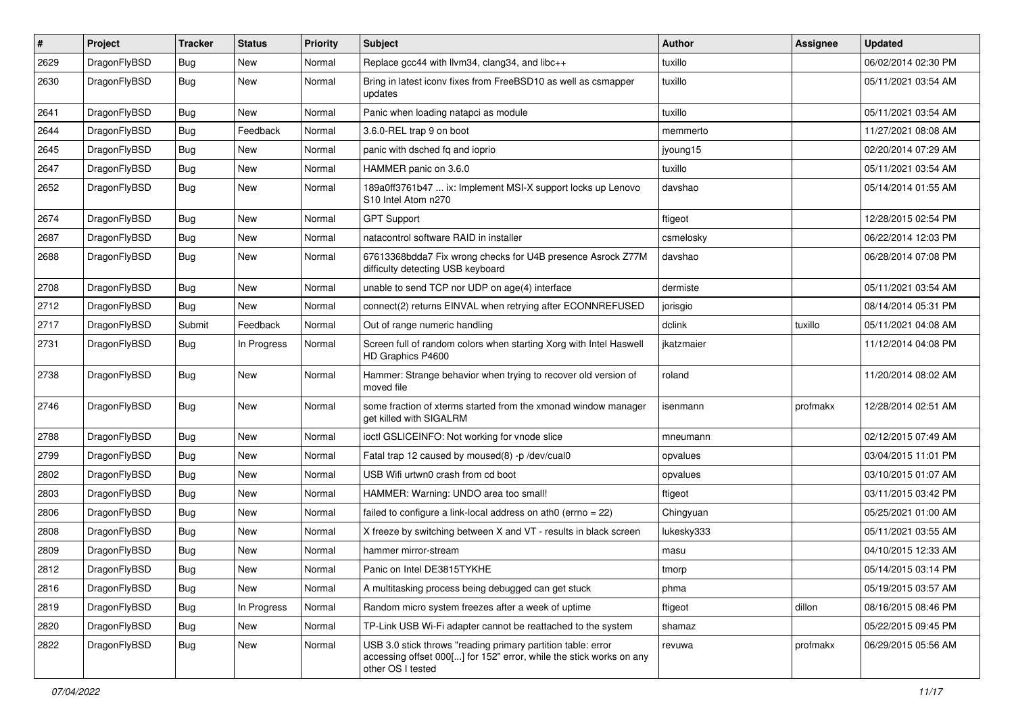| ∦    | Project      | <b>Tracker</b> | <b>Status</b> | <b>Priority</b> | Subject                                                                                                                                                  | Author     | Assignee | <b>Updated</b>      |
|------|--------------|----------------|---------------|-----------------|----------------------------------------------------------------------------------------------------------------------------------------------------------|------------|----------|---------------------|
| 2629 | DragonFlyBSD | Bug            | <b>New</b>    | Normal          | Replace gcc44 with llvm34, clang34, and libc++                                                                                                           | tuxillo    |          | 06/02/2014 02:30 PM |
| 2630 | DragonFlyBSD | Bug            | New           | Normal          | Bring in latest iconv fixes from FreeBSD10 as well as csmapper<br>updates                                                                                | tuxillo    |          | 05/11/2021 03:54 AM |
| 2641 | DragonFlyBSD | Bug            | <b>New</b>    | Normal          | Panic when loading natapci as module                                                                                                                     | tuxillo    |          | 05/11/2021 03:54 AM |
| 2644 | DragonFlyBSD | Bug            | Feedback      | Normal          | 3.6.0-REL trap 9 on boot                                                                                                                                 | memmerto   |          | 11/27/2021 08:08 AM |
| 2645 | DragonFlyBSD | <b>Bug</b>     | New           | Normal          | panic with dsched fq and ioprio                                                                                                                          | jyoung15   |          | 02/20/2014 07:29 AM |
| 2647 | DragonFlyBSD | Bug            | <b>New</b>    | Normal          | HAMMER panic on 3.6.0                                                                                                                                    | tuxillo    |          | 05/11/2021 03:54 AM |
| 2652 | DragonFlyBSD | Bug            | New           | Normal          | 189a0ff3761b47  ix: Implement MSI-X support locks up Lenovo<br>S10 Intel Atom n270                                                                       | davshao    |          | 05/14/2014 01:55 AM |
| 2674 | DragonFlyBSD | <b>Bug</b>     | <b>New</b>    | Normal          | <b>GPT Support</b>                                                                                                                                       | ftigeot    |          | 12/28/2015 02:54 PM |
| 2687 | DragonFlyBSD | <b>Bug</b>     | <b>New</b>    | Normal          | natacontrol software RAID in installer                                                                                                                   | csmelosky  |          | 06/22/2014 12:03 PM |
| 2688 | DragonFlyBSD | <b>Bug</b>     | New           | Normal          | 67613368bdda7 Fix wrong checks for U4B presence Asrock Z77M<br>difficulty detecting USB keyboard                                                         | davshao    |          | 06/28/2014 07:08 PM |
| 2708 | DragonFlyBSD | Bug            | New           | Normal          | unable to send TCP nor UDP on age(4) interface                                                                                                           | dermiste   |          | 05/11/2021 03:54 AM |
| 2712 | DragonFlyBSD | Bug            | <b>New</b>    | Normal          | connect(2) returns EINVAL when retrying after ECONNREFUSED                                                                                               | jorisgio   |          | 08/14/2014 05:31 PM |
| 2717 | DragonFlyBSD | Submit         | Feedback      | Normal          | Out of range numeric handling                                                                                                                            | dclink     | tuxillo  | 05/11/2021 04:08 AM |
| 2731 | DragonFlyBSD | Bug            | In Progress   | Normal          | Screen full of random colors when starting Xorg with Intel Haswell<br>HD Graphics P4600                                                                  | jkatzmaier |          | 11/12/2014 04:08 PM |
| 2738 | DragonFlyBSD | <b>Bug</b>     | New           | Normal          | Hammer: Strange behavior when trying to recover old version of<br>moved file                                                                             | roland     |          | 11/20/2014 08:02 AM |
| 2746 | DragonFlyBSD | <b>Bug</b>     | New           | Normal          | some fraction of xterms started from the xmonad window manager<br>get killed with SIGALRM                                                                | isenmann   | profmakx | 12/28/2014 02:51 AM |
| 2788 | DragonFlyBSD | Bug            | <b>New</b>    | Normal          | ioctl GSLICEINFO: Not working for vnode slice                                                                                                            | mneumann   |          | 02/12/2015 07:49 AM |
| 2799 | DragonFlyBSD | Bug            | <b>New</b>    | Normal          | Fatal trap 12 caused by moused(8) -p /dev/cual0                                                                                                          | opvalues   |          | 03/04/2015 11:01 PM |
| 2802 | DragonFlyBSD | Bug            | <b>New</b>    | Normal          | USB Wifi urtwn0 crash from cd boot                                                                                                                       | opvalues   |          | 03/10/2015 01:07 AM |
| 2803 | DragonFlyBSD | Bug            | <b>New</b>    | Normal          | HAMMER: Warning: UNDO area too small!                                                                                                                    | ftigeot    |          | 03/11/2015 03:42 PM |
| 2806 | DragonFlyBSD | <b>Bug</b>     | <b>New</b>    | Normal          | failed to configure a link-local address on ath0 (errno = 22)                                                                                            | Chingyuan  |          | 05/25/2021 01:00 AM |
| 2808 | DragonFlyBSD | Bug            | <b>New</b>    | Normal          | X freeze by switching between X and VT - results in black screen                                                                                         | lukesky333 |          | 05/11/2021 03:55 AM |
| 2809 | DragonFlyBSD | <b>Bug</b>     | <b>New</b>    | Normal          | hammer mirror-stream                                                                                                                                     | masu       |          | 04/10/2015 12:33 AM |
| 2812 | DragonFlyBSD | Bug            | New           | Normal          | Panic on Intel DE3815TYKHE                                                                                                                               | tmorp      |          | 05/14/2015 03:14 PM |
| 2816 | DragonFlyBSD | Bug            | New           | Normal          | A multitasking process being debugged can get stuck                                                                                                      | phma       |          | 05/19/2015 03:57 AM |
| 2819 | DragonFlyBSD | <b>Bug</b>     | In Progress   | Normal          | Random micro system freezes after a week of uptime                                                                                                       | ftigeot    | dillon   | 08/16/2015 08:46 PM |
| 2820 | DragonFlyBSD | <b>Bug</b>     | New           | Normal          | TP-Link USB Wi-Fi adapter cannot be reattached to the system                                                                                             | shamaz     |          | 05/22/2015 09:45 PM |
| 2822 | DragonFlyBSD | <b>Bug</b>     | New           | Normal          | USB 3.0 stick throws "reading primary partition table: error<br>accessing offset 000[] for 152" error, while the stick works on any<br>other OS I tested | revuwa     | profmakx | 06/29/2015 05:56 AM |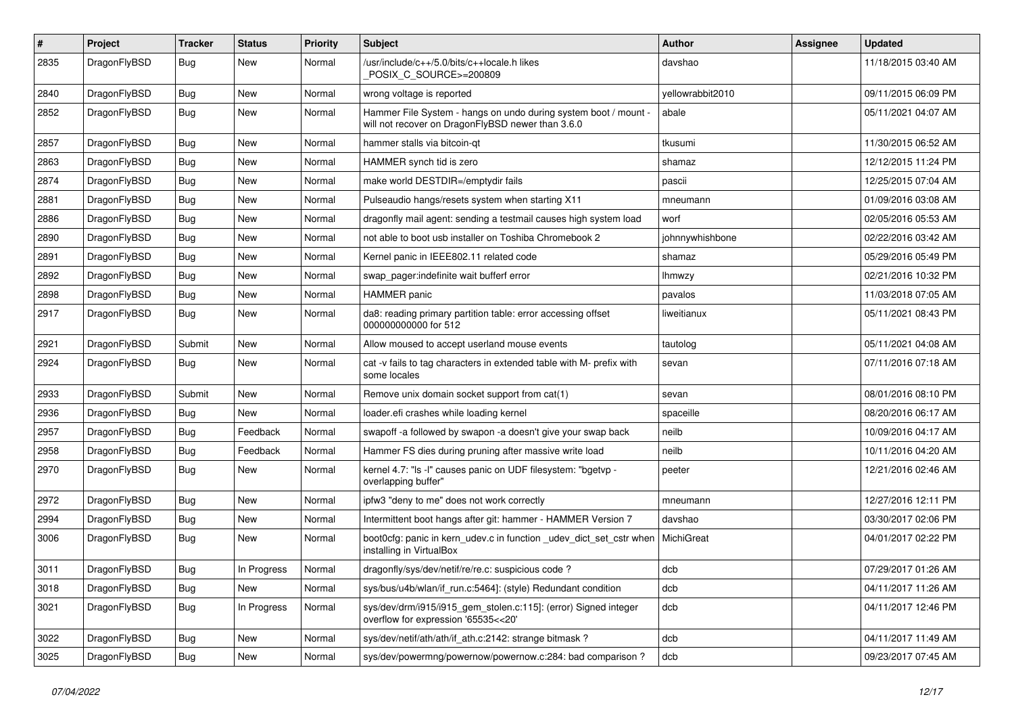| $\pmb{\#}$ | Project      | <b>Tracker</b> | <b>Status</b> | <b>Priority</b> | <b>Subject</b>                                                                                                       | <b>Author</b>    | <b>Assignee</b> | <b>Updated</b>      |
|------------|--------------|----------------|---------------|-----------------|----------------------------------------------------------------------------------------------------------------------|------------------|-----------------|---------------------|
| 2835       | DragonFlyBSD | Bug            | New           | Normal          | /usr/include/c++/5.0/bits/c++locale.h likes<br>POSIX_C_SOURCE>=200809                                                | davshao          |                 | 11/18/2015 03:40 AM |
| 2840       | DragonFlyBSD | <b>Bug</b>     | <b>New</b>    | Normal          | wrong voltage is reported                                                                                            | vellowrabbit2010 |                 | 09/11/2015 06:09 PM |
| 2852       | DragonFlyBSD | Bug            | New           | Normal          | Hammer File System - hangs on undo during system boot / mount -<br>will not recover on DragonFlyBSD newer than 3.6.0 | abale            |                 | 05/11/2021 04:07 AM |
| 2857       | DragonFlyBSD | <b>Bug</b>     | New           | Normal          | hammer stalls via bitcoin-qt                                                                                         | tkusumi          |                 | 11/30/2015 06:52 AM |
| 2863       | DragonFlyBSD | Bug            | New           | Normal          | HAMMER synch tid is zero                                                                                             | shamaz           |                 | 12/12/2015 11:24 PM |
| 2874       | DragonFlyBSD | Bug            | New           | Normal          | make world DESTDIR=/emptydir fails                                                                                   | pascii           |                 | 12/25/2015 07:04 AM |
| 2881       | DragonFlyBSD | Bug            | <b>New</b>    | Normal          | Pulseaudio hangs/resets system when starting X11                                                                     | mneumann         |                 | 01/09/2016 03:08 AM |
| 2886       | DragonFlyBSD | Bug            | <b>New</b>    | Normal          | dragonfly mail agent: sending a testmail causes high system load                                                     | worf             |                 | 02/05/2016 05:53 AM |
| 2890       | DragonFlyBSD | Bug            | <b>New</b>    | Normal          | not able to boot usb installer on Toshiba Chromebook 2                                                               | johnnywhishbone  |                 | 02/22/2016 03:42 AM |
| 2891       | DragonFlyBSD | Bug            | <b>New</b>    | Normal          | Kernel panic in IEEE802.11 related code                                                                              | shamaz           |                 | 05/29/2016 05:49 PM |
| 2892       | DragonFlyBSD | <b>Bug</b>     | New           | Normal          | swap pager:indefinite wait bufferf error                                                                             | lhmwzy           |                 | 02/21/2016 10:32 PM |
| 2898       | DragonFlyBSD | <b>Bug</b>     | New           | Normal          | HAMMER panic                                                                                                         | pavalos          |                 | 11/03/2018 07:05 AM |
| 2917       | DragonFlyBSD | Bug            | New           | Normal          | da8: reading primary partition table: error accessing offset<br>000000000000 for 512                                 | liweitianux      |                 | 05/11/2021 08:43 PM |
| 2921       | DragonFlyBSD | Submit         | <b>New</b>    | Normal          | Allow moused to accept userland mouse events                                                                         | tautolog         |                 | 05/11/2021 04:08 AM |
| 2924       | DragonFlyBSD | Bug            | <b>New</b>    | Normal          | cat -v fails to tag characters in extended table with M- prefix with<br>some locales                                 | sevan            |                 | 07/11/2016 07:18 AM |
| 2933       | DragonFlyBSD | Submit         | <b>New</b>    | Normal          | Remove unix domain socket support from cat(1)                                                                        | sevan            |                 | 08/01/2016 08:10 PM |
| 2936       | DragonFlyBSD | <b>Bug</b>     | <b>New</b>    | Normal          | loader.efi crashes while loading kernel                                                                              | spaceille        |                 | 08/20/2016 06:17 AM |
| 2957       | DragonFlyBSD | <b>Bug</b>     | Feedback      | Normal          | swapoff -a followed by swapon -a doesn't give your swap back                                                         | neilb            |                 | 10/09/2016 04:17 AM |
| 2958       | DragonFlyBSD | Bug            | Feedback      | Normal          | Hammer FS dies during pruning after massive write load                                                               | neilb            |                 | 10/11/2016 04:20 AM |
| 2970       | DragonFlyBSD | Bug            | <b>New</b>    | Normal          | kernel 4.7: "Is -I" causes panic on UDF filesystem: "bgetvp -<br>overlapping buffer"                                 | peeter           |                 | 12/21/2016 02:46 AM |
| 2972       | DragonFlyBSD | Bug            | New           | Normal          | ipfw3 "deny to me" does not work correctly                                                                           | mneumann         |                 | 12/27/2016 12:11 PM |
| 2994       | DragonFlyBSD | Bug            | New           | Normal          | Intermittent boot hangs after git: hammer - HAMMER Version 7                                                         | davshao          |                 | 03/30/2017 02:06 PM |
| 3006       | DragonFlyBSD | Bug            | New           | Normal          | boot0cfg: panic in kern_udev.c in function _udev_dict_set_cstr when<br>installing in VirtualBox                      | MichiGreat       |                 | 04/01/2017 02:22 PM |
| 3011       | DragonFlyBSD | Bug            | In Progress   | Normal          | dragonfly/sys/dev/netif/re/re.c: suspicious code?                                                                    | dcb              |                 | 07/29/2017 01:26 AM |
| 3018       | DragonFlyBSD | Bug            | <b>New</b>    | Normal          | sys/bus/u4b/wlan/if_run.c:5464]: (style) Redundant condition                                                         | dcb              |                 | 04/11/2017 11:26 AM |
| 3021       | DragonFlyBSD | Bug            | In Progress   | Normal          | sys/dev/drm/i915/i915_gem_stolen.c:115]: (error) Signed integer<br>overflow for expression '65535<<20'               | dcb              |                 | 04/11/2017 12:46 PM |
| 3022       | DragonFlyBSD | Bug            | New           | Normal          | sys/dev/netif/ath/ath/if_ath.c:2142: strange bitmask?                                                                | dcb              |                 | 04/11/2017 11:49 AM |
| 3025       | DragonFlyBSD | <b>Bug</b>     | New           | Normal          | sys/dev/powermng/powernow/powernow.c:284: bad comparison?                                                            | dcb              |                 | 09/23/2017 07:45 AM |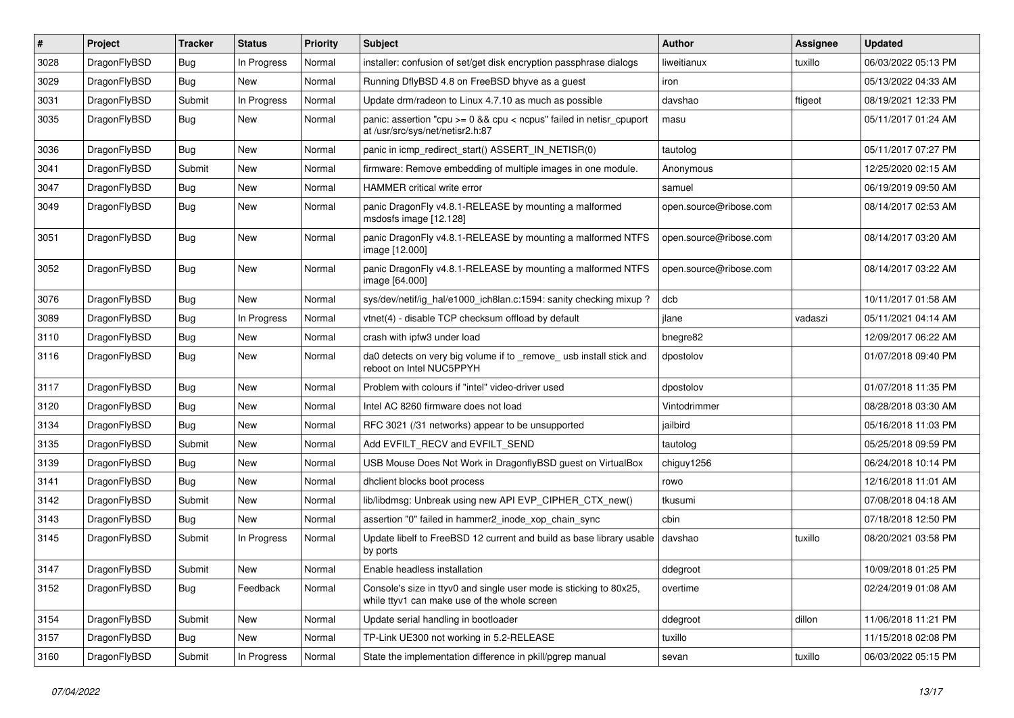| $\sharp$ | Project      | <b>Tracker</b> | <b>Status</b> | <b>Priority</b> | <b>Subject</b>                                                                                                     | Author                 | <b>Assignee</b> | <b>Updated</b>      |
|----------|--------------|----------------|---------------|-----------------|--------------------------------------------------------------------------------------------------------------------|------------------------|-----------------|---------------------|
| 3028     | DragonFlyBSD | <b>Bug</b>     | In Progress   | Normal          | installer: confusion of set/get disk encryption passphrase dialogs                                                 | liweitianux            | tuxillo         | 06/03/2022 05:13 PM |
| 3029     | DragonFlyBSD | Bug            | New           | Normal          | Running DflyBSD 4.8 on FreeBSD bhyve as a guest                                                                    | iron                   |                 | 05/13/2022 04:33 AM |
| 3031     | DragonFlyBSD | Submit         | In Progress   | Normal          | Update drm/radeon to Linux 4.7.10 as much as possible                                                              | davshao                | ftigeot         | 08/19/2021 12:33 PM |
| 3035     | DragonFlyBSD | Bug            | New           | Normal          | panic: assertion "cpu >= 0 && cpu < ncpus" failed in netisr_cpuport<br>at /usr/src/sys/net/netisr2.h:87            | masu                   |                 | 05/11/2017 01:24 AM |
| 3036     | DragonFlyBSD | <b>Bug</b>     | New           | Normal          | panic in icmp redirect start() ASSERT IN NETISR(0)                                                                 | tautolog               |                 | 05/11/2017 07:27 PM |
| 3041     | DragonFlyBSD | Submit         | <b>New</b>    | Normal          | firmware: Remove embedding of multiple images in one module.                                                       | Anonymous              |                 | 12/25/2020 02:15 AM |
| 3047     | DragonFlyBSD | <b>Bug</b>     | New           | Normal          | HAMMER critical write error                                                                                        | samuel                 |                 | 06/19/2019 09:50 AM |
| 3049     | DragonFlyBSD | Bug            | <b>New</b>    | Normal          | panic DragonFly v4.8.1-RELEASE by mounting a malformed<br>msdosfs image [12.128]                                   | open.source@ribose.com |                 | 08/14/2017 02:53 AM |
| 3051     | DragonFlyBSD | Bug            | New           | Normal          | panic DragonFly v4.8.1-RELEASE by mounting a malformed NTFS<br>image [12.000]                                      | open.source@ribose.com |                 | 08/14/2017 03:20 AM |
| 3052     | DragonFlyBSD | Bug            | <b>New</b>    | Normal          | panic DragonFly v4.8.1-RELEASE by mounting a malformed NTFS<br>image [64.000]                                      | open.source@ribose.com |                 | 08/14/2017 03:22 AM |
| 3076     | DragonFlyBSD | Bug            | New           | Normal          | sys/dev/netif/ig hal/e1000 ich8lan.c:1594: sanity checking mixup?                                                  | dcb                    |                 | 10/11/2017 01:58 AM |
| 3089     | DragonFlyBSD | Bug            | In Progress   | Normal          | vtnet(4) - disable TCP checksum offload by default                                                                 | ilane                  | vadaszi         | 05/11/2021 04:14 AM |
| 3110     | DragonFlyBSD | Bug            | New           | Normal          | crash with ipfw3 under load                                                                                        | bnegre82               |                 | 12/09/2017 06:22 AM |
| 3116     | DragonFlyBSD | Bug            | New           | Normal          | da0 detects on very big volume if to _remove_usb install stick and<br>reboot on Intel NUC5PPYH                     | dpostolov              |                 | 01/07/2018 09:40 PM |
| 3117     | DragonFlyBSD | Bug            | <b>New</b>    | Normal          | Problem with colours if "intel" video-driver used                                                                  | dpostolov              |                 | 01/07/2018 11:35 PM |
| 3120     | DragonFlyBSD | Bug            | <b>New</b>    | Normal          | Intel AC 8260 firmware does not load                                                                               | Vintodrimmer           |                 | 08/28/2018 03:30 AM |
| 3134     | DragonFlyBSD | <b>Bug</b>     | New           | Normal          | RFC 3021 (/31 networks) appear to be unsupported                                                                   | jailbird               |                 | 05/16/2018 11:03 PM |
| 3135     | DragonFlyBSD | Submit         | <b>New</b>    | Normal          | Add EVFILT_RECV and EVFILT_SEND                                                                                    | tautolog               |                 | 05/25/2018 09:59 PM |
| 3139     | DragonFlyBSD | Bug            | New           | Normal          | USB Mouse Does Not Work in DragonflyBSD guest on VirtualBox                                                        | chiguy1256             |                 | 06/24/2018 10:14 PM |
| 3141     | DragonFlyBSD | Bug            | <b>New</b>    | Normal          | dhclient blocks boot process                                                                                       | rowo                   |                 | 12/16/2018 11:01 AM |
| 3142     | DragonFlyBSD | Submit         | <b>New</b>    | Normal          | lib/libdmsg: Unbreak using new API EVP_CIPHER_CTX_new()                                                            | tkusumi                |                 | 07/08/2018 04:18 AM |
| 3143     | DragonFlyBSD | <b>Bug</b>     | New           | Normal          | assertion "0" failed in hammer2_inode_xop_chain_sync                                                               | cbin                   |                 | 07/18/2018 12:50 PM |
| 3145     | DragonFlyBSD | Submit         | In Progress   | Normal          | Update libelf to FreeBSD 12 current and build as base library usable<br>by ports                                   | davshao                | tuxillo         | 08/20/2021 03:58 PM |
| 3147     | DragonFlyBSD | Submit         | New           | Normal          | Enable headless installation                                                                                       | ddegroot               |                 | 10/09/2018 01:25 PM |
| 3152     | DragonFlyBSD | Bug            | Feedback      | Normal          | Console's size in ttyv0 and single user mode is sticking to 80x25,<br>while ttyv1 can make use of the whole screen | overtime               |                 | 02/24/2019 01:08 AM |
| 3154     | DragonFlyBSD | Submit         | New           | Normal          | Update serial handling in bootloader                                                                               | ddegroot               | dillon          | 11/06/2018 11:21 PM |
| 3157     | DragonFlyBSD | Bug            | New           | Normal          | TP-Link UE300 not working in 5.2-RELEASE                                                                           | tuxillo                |                 | 11/15/2018 02:08 PM |
| 3160     | DragonFlyBSD | Submit         | In Progress   | Normal          | State the implementation difference in pkill/pgrep manual                                                          | sevan                  | tuxillo         | 06/03/2022 05:15 PM |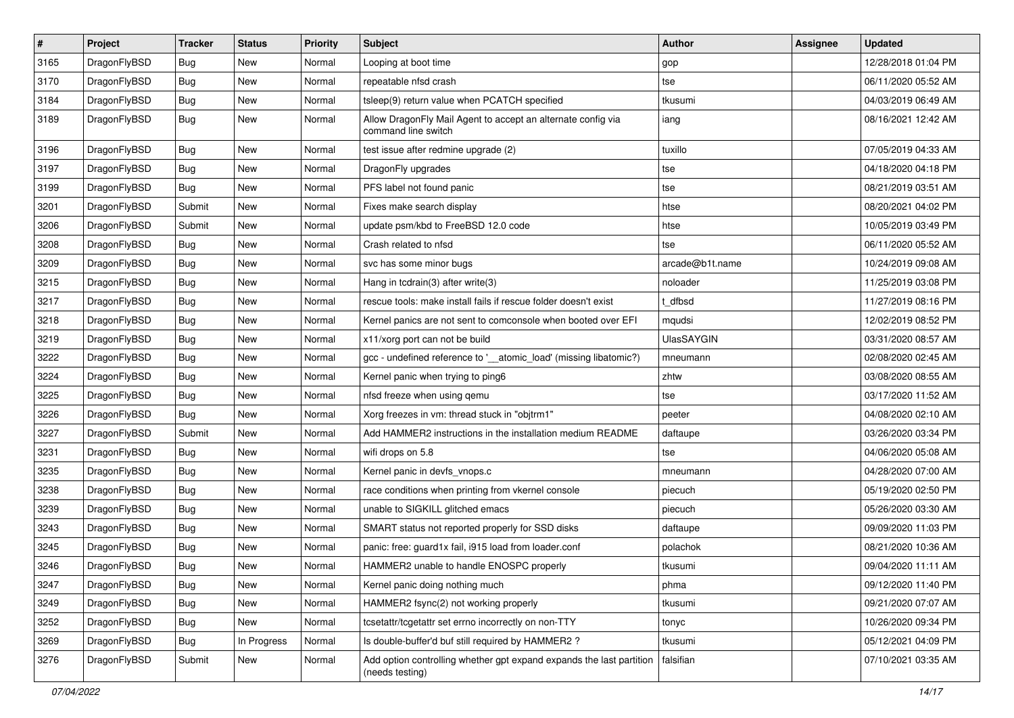| $\vert$ # | Project      | <b>Tracker</b> | <b>Status</b> | <b>Priority</b> | Subject                                                                                 | Author            | <b>Assignee</b> | <b>Updated</b>      |
|-----------|--------------|----------------|---------------|-----------------|-----------------------------------------------------------------------------------------|-------------------|-----------------|---------------------|
| 3165      | DragonFlyBSD | Bug            | New           | Normal          | Looping at boot time                                                                    | gop               |                 | 12/28/2018 01:04 PM |
| 3170      | DragonFlyBSD | <b>Bug</b>     | <b>New</b>    | Normal          | repeatable nfsd crash                                                                   | tse               |                 | 06/11/2020 05:52 AM |
| 3184      | DragonFlyBSD | <b>Bug</b>     | New           | Normal          | tsleep(9) return value when PCATCH specified                                            | tkusumi           |                 | 04/03/2019 06:49 AM |
| 3189      | DragonFlyBSD | Bug            | New           | Normal          | Allow DragonFly Mail Agent to accept an alternate config via<br>command line switch     | iang              |                 | 08/16/2021 12:42 AM |
| 3196      | DragonFlyBSD | Bug            | New           | Normal          | test issue after redmine upgrade (2)                                                    | tuxillo           |                 | 07/05/2019 04:33 AM |
| 3197      | DragonFlyBSD | Bug            | <b>New</b>    | Normal          | DragonFly upgrades                                                                      | tse               |                 | 04/18/2020 04:18 PM |
| 3199      | DragonFlyBSD | <b>Bug</b>     | New           | Normal          | PFS label not found panic                                                               | tse               |                 | 08/21/2019 03:51 AM |
| 3201      | DragonFlyBSD | Submit         | <b>New</b>    | Normal          | Fixes make search display                                                               | htse              |                 | 08/20/2021 04:02 PM |
| 3206      | DragonFlyBSD | Submit         | <b>New</b>    | Normal          | update psm/kbd to FreeBSD 12.0 code                                                     | htse              |                 | 10/05/2019 03:49 PM |
| 3208      | DragonFlyBSD | <b>Bug</b>     | <b>New</b>    | Normal          | Crash related to nfsd                                                                   | tse               |                 | 06/11/2020 05:52 AM |
| 3209      | DragonFlyBSD | Bug            | <b>New</b>    | Normal          | svc has some minor bugs                                                                 | arcade@b1t.name   |                 | 10/24/2019 09:08 AM |
| 3215      | DragonFlyBSD | <b>Bug</b>     | New           | Normal          | Hang in tcdrain(3) after write(3)                                                       | noloader          |                 | 11/25/2019 03:08 PM |
| 3217      | DragonFlyBSD | Bug            | New           | Normal          | rescue tools: make install fails if rescue folder doesn't exist                         | t dfbsd           |                 | 11/27/2019 08:16 PM |
| 3218      | DragonFlyBSD | <b>Bug</b>     | <b>New</b>    | Normal          | Kernel panics are not sent to comconsole when booted over EFI                           | mqudsi            |                 | 12/02/2019 08:52 PM |
| 3219      | DragonFlyBSD | <b>Bug</b>     | New           | Normal          | x11/xorg port can not be build                                                          | <b>UlasSAYGIN</b> |                 | 03/31/2020 08:57 AM |
| 3222      | DragonFlyBSD | Bug            | New           | Normal          | gcc - undefined reference to '__atomic_load' (missing libatomic?)                       | mneumann          |                 | 02/08/2020 02:45 AM |
| 3224      | DragonFlyBSD | Bug            | <b>New</b>    | Normal          | Kernel panic when trying to ping6                                                       | zhtw              |                 | 03/08/2020 08:55 AM |
| 3225      | DragonFlyBSD | <b>Bug</b>     | New           | Normal          | nfsd freeze when using gemu                                                             | tse               |                 | 03/17/2020 11:52 AM |
| 3226      | DragonFlyBSD | Bug            | <b>New</b>    | Normal          | Xorg freezes in vm: thread stuck in "objtrm1"                                           | peeter            |                 | 04/08/2020 02:10 AM |
| 3227      | DragonFlyBSD | Submit         | New           | Normal          | Add HAMMER2 instructions in the installation medium README                              | daftaupe          |                 | 03/26/2020 03:34 PM |
| 3231      | DragonFlyBSD | <b>Bug</b>     | <b>New</b>    | Normal          | wifi drops on 5.8                                                                       | tse               |                 | 04/06/2020 05:08 AM |
| 3235      | DragonFlyBSD | Bug            | <b>New</b>    | Normal          | Kernel panic in devfs_vnops.c                                                           | mneumann          |                 | 04/28/2020 07:00 AM |
| 3238      | DragonFlyBSD | <b>Bug</b>     | New           | Normal          | race conditions when printing from vkernel console                                      | piecuch           |                 | 05/19/2020 02:50 PM |
| 3239      | DragonFlyBSD | Bug            | <b>New</b>    | Normal          | unable to SIGKILL glitched emacs                                                        | piecuch           |                 | 05/26/2020 03:30 AM |
| 3243      | DragonFlyBSD | Bug            | New           | Normal          | SMART status not reported properly for SSD disks                                        | daftaupe          |                 | 09/09/2020 11:03 PM |
| 3245      | DragonFlyBSD | <b>Bug</b>     | New           | Normal          | panic: free: guard1x fail, i915 load from loader.conf                                   | polachok          |                 | 08/21/2020 10:36 AM |
| 3246      | DragonFlyBSD | <b>Bug</b>     | <b>New</b>    | Normal          | HAMMER2 unable to handle ENOSPC properly                                                | tkusumi           |                 | 09/04/2020 11:11 AM |
| 3247      | DragonFlyBSD | <b>Bug</b>     | New           | Normal          | Kernel panic doing nothing much                                                         | phma              |                 | 09/12/2020 11:40 PM |
| 3249      | DragonFlyBSD | Bug            | New           | Normal          | HAMMER2 fsync(2) not working properly                                                   | tkusumi           |                 | 09/21/2020 07:07 AM |
| 3252      | DragonFlyBSD | <b>Bug</b>     | New           | Normal          | tcsetattr/tcgetattr set errno incorrectly on non-TTY                                    | tonyc             |                 | 10/26/2020 09:34 PM |
| 3269      | DragonFlyBSD | <b>Bug</b>     | In Progress   | Normal          | Is double-buffer'd buf still required by HAMMER2?                                       | tkusumi           |                 | 05/12/2021 04:09 PM |
| 3276      | DragonFlyBSD | Submit         | New           | Normal          | Add option controlling whether gpt expand expands the last partition<br>(needs testing) | falsifian         |                 | 07/10/2021 03:35 AM |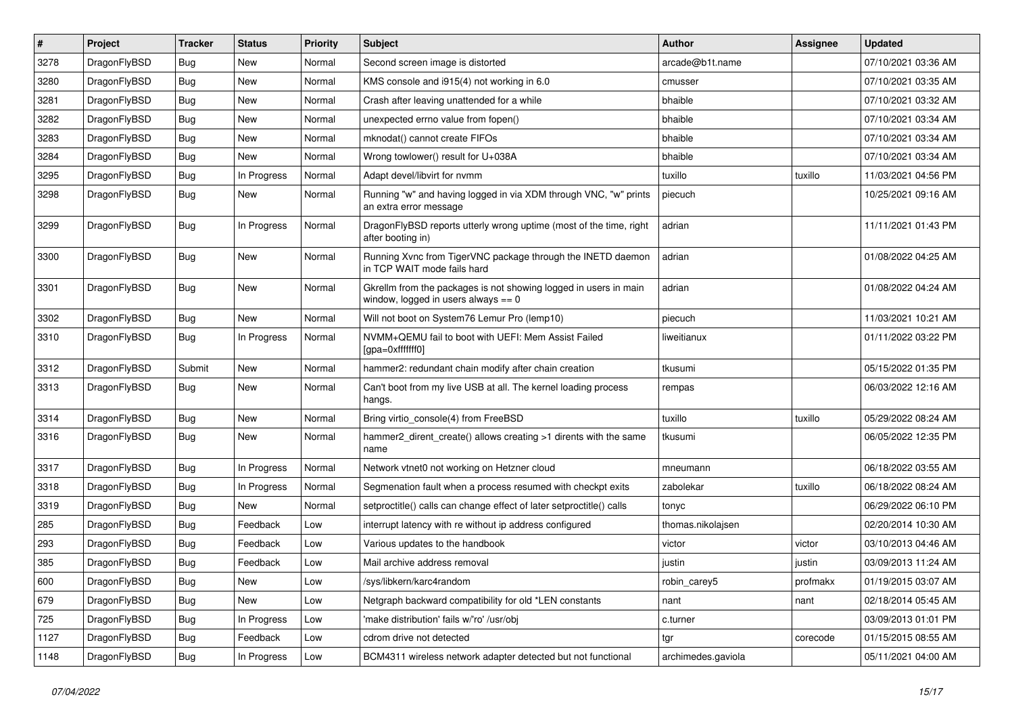| #    | Project      | <b>Tracker</b> | <b>Status</b> | <b>Priority</b> | Subject                                                                                                   | <b>Author</b>      | <b>Assignee</b> | <b>Updated</b>      |
|------|--------------|----------------|---------------|-----------------|-----------------------------------------------------------------------------------------------------------|--------------------|-----------------|---------------------|
| 3278 | DragonFlyBSD | <b>Bug</b>     | <b>New</b>    | Normal          | Second screen image is distorted                                                                          | arcade@b1t.name    |                 | 07/10/2021 03:36 AM |
| 3280 | DragonFlyBSD | Bug            | <b>New</b>    | Normal          | KMS console and i915(4) not working in 6.0                                                                | cmusser            |                 | 07/10/2021 03:35 AM |
| 3281 | DragonFlyBSD | <b>Bug</b>     | <b>New</b>    | Normal          | Crash after leaving unattended for a while                                                                | bhaible            |                 | 07/10/2021 03:32 AM |
| 3282 | DragonFlyBSD | Bug            | <b>New</b>    | Normal          | unexpected errno value from fopen()                                                                       | bhaible            |                 | 07/10/2021 03:34 AM |
| 3283 | DragonFlyBSD | <b>Bug</b>     | <b>New</b>    | Normal          | mknodat() cannot create FIFOs                                                                             | bhaible            |                 | 07/10/2021 03:34 AM |
| 3284 | DragonFlyBSD | <b>Bug</b>     | New           | Normal          | Wrong towlower() result for U+038A                                                                        | bhaible            |                 | 07/10/2021 03:34 AM |
| 3295 | DragonFlyBSD | Bug            | In Progress   | Normal          | Adapt devel/libvirt for nvmm                                                                              | tuxillo            | tuxillo         | 11/03/2021 04:56 PM |
| 3298 | DragonFlyBSD | Bug            | New           | Normal          | Running "w" and having logged in via XDM through VNC, "w" prints<br>an extra error message                | piecuch            |                 | 10/25/2021 09:16 AM |
| 3299 | DragonFlyBSD | Bug            | In Progress   | Normal          | DragonFlyBSD reports utterly wrong uptime (most of the time, right<br>after booting in)                   | adrian             |                 | 11/11/2021 01:43 PM |
| 3300 | DragonFlyBSD | Bug            | New           | Normal          | Running Xvnc from TigerVNC package through the INETD daemon<br>in TCP WAIT mode fails hard                | adrian             |                 | 01/08/2022 04:25 AM |
| 3301 | DragonFlyBSD | <b>Bug</b>     | <b>New</b>    | Normal          | Gkrellm from the packages is not showing logged in users in main<br>window, logged in users always $== 0$ | adrian             |                 | 01/08/2022 04:24 AM |
| 3302 | DragonFlyBSD | <b>Bug</b>     | <b>New</b>    | Normal          | Will not boot on System76 Lemur Pro (lemp10)                                                              | piecuch            |                 | 11/03/2021 10:21 AM |
| 3310 | DragonFlyBSD | Bug            | In Progress   | Normal          | NVMM+QEMU fail to boot with UEFI: Mem Assist Failed<br>[gpa=0xfffffff0]                                   | liweitianux        |                 | 01/11/2022 03:22 PM |
| 3312 | DragonFlyBSD | Submit         | New           | Normal          | hammer2: redundant chain modify after chain creation                                                      | tkusumi            |                 | 05/15/2022 01:35 PM |
| 3313 | DragonFlyBSD | Bug            | <b>New</b>    | Normal          | Can't boot from my live USB at all. The kernel loading process<br>hangs.                                  | rempas             |                 | 06/03/2022 12:16 AM |
| 3314 | DragonFlyBSD | <b>Bug</b>     | <b>New</b>    | Normal          | Bring virtio_console(4) from FreeBSD                                                                      | tuxillo            | tuxillo         | 05/29/2022 08:24 AM |
| 3316 | DragonFlyBSD | Bug            | <b>New</b>    | Normal          | hammer2 dirent create() allows creating >1 dirents with the same<br>name                                  | tkusumi            |                 | 06/05/2022 12:35 PM |
| 3317 | DragonFlyBSD | <b>Bug</b>     | In Progress   | Normal          | Network vtnet0 not working on Hetzner cloud                                                               | mneumann           |                 | 06/18/2022 03:55 AM |
| 3318 | DragonFlyBSD | Bug            | In Progress   | Normal          | Segmenation fault when a process resumed with checkpt exits                                               | zabolekar          | tuxillo         | 06/18/2022 08:24 AM |
| 3319 | DragonFlyBSD | <b>Bug</b>     | New           | Normal          | setproctitle() calls can change effect of later setproctitle() calls                                      | tonyc              |                 | 06/29/2022 06:10 PM |
| 285  | DragonFlyBSD | <b>Bug</b>     | Feedback      | Low             | interrupt latency with re without ip address configured                                                   | thomas.nikolajsen  |                 | 02/20/2014 10:30 AM |
| 293  | DragonFlyBSD | <b>Bug</b>     | Feedback      | Low             | Various updates to the handbook                                                                           | victor             | victor          | 03/10/2013 04:46 AM |
| 385  | DragonFlyBSD | <b>Bug</b>     | Feedback      | Low             | Mail archive address removal                                                                              | justin             | justin          | 03/09/2013 11:24 AM |
| 600  | DragonFlyBSD | <b>Bug</b>     | New           | Low             | /sys/libkern/karc4random                                                                                  | robin_carey5       | profmakx        | 01/19/2015 03:07 AM |
| 679  | DragonFlyBSD | <b>Bug</b>     | New           | Low             | Netgraph backward compatibility for old *LEN constants                                                    | nant               | nant            | 02/18/2014 05:45 AM |
| 725  | DragonFlyBSD | Bug            | In Progress   | Low             | 'make distribution' fails w/'ro' /usr/obj                                                                 | c.turner           |                 | 03/09/2013 01:01 PM |
| 1127 | DragonFlyBSD | <b>Bug</b>     | Feedback      | Low             | cdrom drive not detected                                                                                  | tgr                | corecode        | 01/15/2015 08:55 AM |
| 1148 | DragonFlyBSD | <b>Bug</b>     | In Progress   | Low             | BCM4311 wireless network adapter detected but not functional                                              | archimedes.gaviola |                 | 05/11/2021 04:00 AM |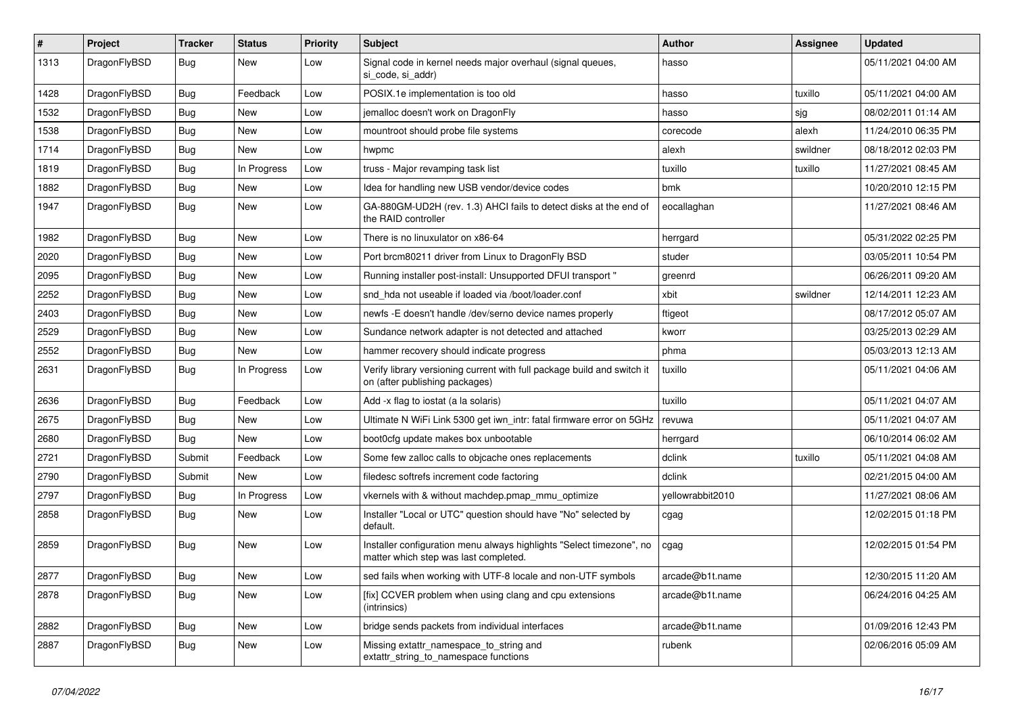| ∦    | Project      | <b>Tracker</b> | <b>Status</b> | <b>Priority</b> | <b>Subject</b>                                                                                                | <b>Author</b>    | Assignee | <b>Updated</b>      |
|------|--------------|----------------|---------------|-----------------|---------------------------------------------------------------------------------------------------------------|------------------|----------|---------------------|
| 1313 | DragonFlyBSD | <b>Bug</b>     | <b>New</b>    | Low             | Signal code in kernel needs major overhaul (signal queues,<br>si code, si addr)                               | hasso            |          | 05/11/2021 04:00 AM |
| 1428 | DragonFlyBSD | <b>Bug</b>     | Feedback      | Low             | POSIX.1e implementation is too old                                                                            | hasso            | tuxillo  | 05/11/2021 04:00 AM |
| 1532 | DragonFlyBSD | Bug            | <b>New</b>    | Low             | jemalloc doesn't work on DragonFly                                                                            | hasso            | sjg      | 08/02/2011 01:14 AM |
| 1538 | DragonFlyBSD | Bug            | <b>New</b>    | Low             | mountroot should probe file systems                                                                           | corecode         | alexh    | 11/24/2010 06:35 PM |
| 1714 | DragonFlyBSD | Bug            | <b>New</b>    | Low             | hwpmc                                                                                                         | alexh            | swildner | 08/18/2012 02:03 PM |
| 1819 | DragonFlyBSD | <b>Bug</b>     | In Progress   | Low             | truss - Major revamping task list                                                                             | tuxillo          | tuxillo  | 11/27/2021 08:45 AM |
| 1882 | DragonFlyBSD | <b>Bug</b>     | New           | Low             | Idea for handling new USB vendor/device codes                                                                 | bmk              |          | 10/20/2010 12:15 PM |
| 1947 | DragonFlyBSD | <b>Bug</b>     | <b>New</b>    | Low             | GA-880GM-UD2H (rev. 1.3) AHCI fails to detect disks at the end of<br>the RAID controller                      | eocallaghan      |          | 11/27/2021 08:46 AM |
| 1982 | DragonFlyBSD | <b>Bug</b>     | <b>New</b>    | Low             | There is no linuxulator on x86-64                                                                             | herrgard         |          | 05/31/2022 02:25 PM |
| 2020 | DragonFlyBSD | <b>Bug</b>     | <b>New</b>    | Low             | Port brcm80211 driver from Linux to DragonFly BSD                                                             | studer           |          | 03/05/2011 10:54 PM |
| 2095 | DragonFlyBSD | <b>Bug</b>     | <b>New</b>    | Low             | Running installer post-install: Unsupported DFUI transport "                                                  | greenrd          |          | 06/26/2011 09:20 AM |
| 2252 | DragonFlyBSD | <b>Bug</b>     | <b>New</b>    | Low             | snd_hda not useable if loaded via /boot/loader.conf                                                           | xbit             | swildner | 12/14/2011 12:23 AM |
| 2403 | DragonFlyBSD | Bug            | <b>New</b>    | Low             | newfs -E doesn't handle /dev/serno device names properly                                                      | ftigeot          |          | 08/17/2012 05:07 AM |
| 2529 | DragonFlyBSD | <b>Bug</b>     | <b>New</b>    | Low             | Sundance network adapter is not detected and attached                                                         | kworr            |          | 03/25/2013 02:29 AM |
| 2552 | DragonFlyBSD | <b>Bug</b>     | <b>New</b>    | Low             | hammer recovery should indicate progress                                                                      | phma             |          | 05/03/2013 12:13 AM |
| 2631 | DragonFlyBSD | <b>Bug</b>     | In Progress   | Low             | Verify library versioning current with full package build and switch it<br>on (after publishing packages)     | tuxillo          |          | 05/11/2021 04:06 AM |
| 2636 | DragonFlyBSD | <b>Bug</b>     | Feedback      | Low             | Add -x flag to iostat (a la solaris)                                                                          | tuxillo          |          | 05/11/2021 04:07 AM |
| 2675 | DragonFlyBSD | Bug            | New           | Low             | Ultimate N WiFi Link 5300 get iwn intr: fatal firmware error on 5GHz                                          | revuwa           |          | 05/11/2021 04:07 AM |
| 2680 | DragonFlyBSD | Bug            | <b>New</b>    | Low             | boot0cfg update makes box unbootable                                                                          | herrgard         |          | 06/10/2014 06:02 AM |
| 2721 | DragonFlyBSD | Submit         | Feedback      | Low             | Some few zalloc calls to objcache ones replacements                                                           | dclink           | tuxillo  | 05/11/2021 04:08 AM |
| 2790 | DragonFlyBSD | Submit         | New           | Low             | filedesc softrefs increment code factoring                                                                    | dclink           |          | 02/21/2015 04:00 AM |
| 2797 | DragonFlyBSD | Bug            | In Progress   | Low             | vkernels with & without machdep.pmap mmu optimize                                                             | yellowrabbit2010 |          | 11/27/2021 08:06 AM |
| 2858 | DragonFlyBSD | Bug            | New           | Low             | Installer "Local or UTC" question should have "No" selected by<br>default.                                    | cgag             |          | 12/02/2015 01:18 PM |
| 2859 | DragonFlyBSD | Bug            | <b>New</b>    | Low             | Installer configuration menu always highlights "Select timezone", no<br>matter which step was last completed. | cgag             |          | 12/02/2015 01:54 PM |
| 2877 | DragonFlyBSD | <b>Bug</b>     | <b>New</b>    | Low             | sed fails when working with UTF-8 locale and non-UTF symbols                                                  | arcade@b1t.name  |          | 12/30/2015 11:20 AM |
| 2878 | DragonFlyBSD | <b>Bug</b>     | <b>New</b>    | Low             | [fix] CCVER problem when using clang and cpu extensions<br>(intrinsics)                                       | arcade@b1t.name  |          | 06/24/2016 04:25 AM |
| 2882 | DragonFlyBSD | <b>Bug</b>     | <b>New</b>    | Low             | bridge sends packets from individual interfaces                                                               | arcade@b1t.name  |          | 01/09/2016 12:43 PM |
| 2887 | DragonFlyBSD | Bug            | <b>New</b>    | Low             | Missing extattr_namespace_to_string and<br>extattr_string_to_namespace functions                              | rubenk           |          | 02/06/2016 05:09 AM |